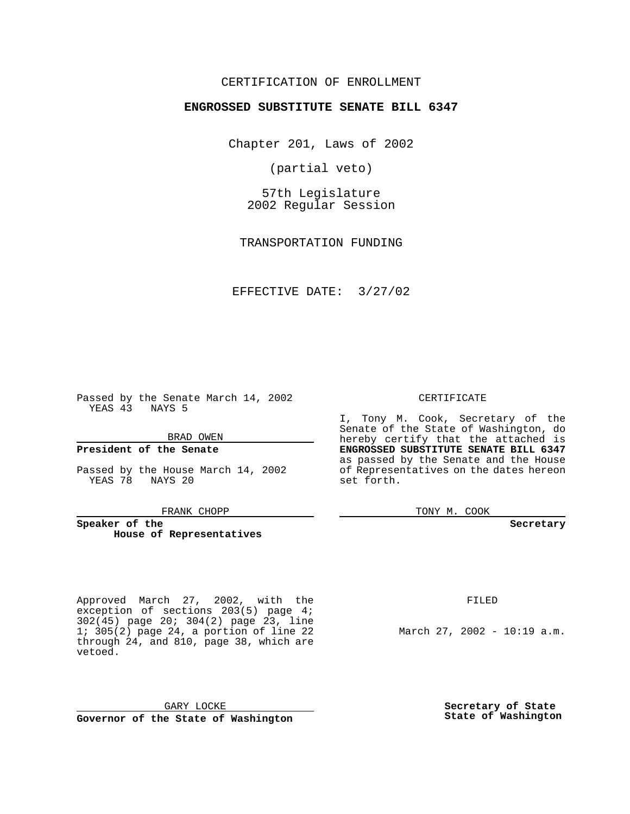#### CERTIFICATION OF ENROLLMENT

#### **ENGROSSED SUBSTITUTE SENATE BILL 6347**

Chapter 201, Laws of 2002

(partial veto)

57th Legislature 2002 Regular Session

TRANSPORTATION FUNDING

EFFECTIVE DATE: 3/27/02

Passed by the Senate March 14, 2002 YEAS 43 NAYS 5

BRAD OWEN

#### **President of the Senate**

Passed by the House March 14, 2002 YEAS 78 NAYS 20

FRANK CHOPP

**Speaker of the House of Representatives**

Approved March 27, 2002, with the exception of sections 203(5) page 4; 302(45) page 20; 304(2) page 23, line 1; 305(2) page 24, a portion of line 22 through 24, and 810, page 38, which are vetoed.

CERTIFICATE

I, Tony M. Cook, Secretary of the Senate of the State of Washington, do hereby certify that the attached is **ENGROSSED SUBSTITUTE SENATE BILL 6347** as passed by the Senate and the House of Representatives on the dates hereon set forth.

TONY M. COOK

**Secretary**

FILED

March 27, 2002 - 10:19 a.m.

GARY LOCKE **Governor of the State of Washington** **Secretary of State State of Washington**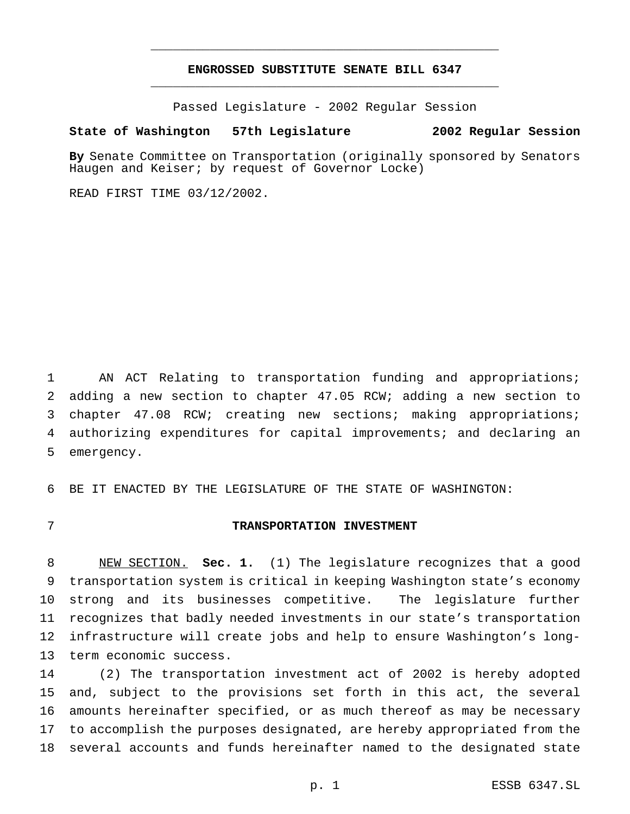#### **ENGROSSED SUBSTITUTE SENATE BILL 6347** \_\_\_\_\_\_\_\_\_\_\_\_\_\_\_\_\_\_\_\_\_\_\_\_\_\_\_\_\_\_\_\_\_\_\_\_\_\_\_\_\_\_\_\_\_\_\_

\_\_\_\_\_\_\_\_\_\_\_\_\_\_\_\_\_\_\_\_\_\_\_\_\_\_\_\_\_\_\_\_\_\_\_\_\_\_\_\_\_\_\_\_\_\_\_

Passed Legislature - 2002 Regular Session

#### **State of Washington 57th Legislature 2002 Regular Session**

**By** Senate Committee on Transportation (originally sponsored by Senators Haugen and Keiser; by request of Governor Locke)

READ FIRST TIME 03/12/2002.

 AN ACT Relating to transportation funding and appropriations; adding a new section to chapter 47.05 RCW; adding a new section to chapter 47.08 RCW; creating new sections; making appropriations; authorizing expenditures for capital improvements; and declaring an emergency.

BE IT ENACTED BY THE LEGISLATURE OF THE STATE OF WASHINGTON:

#### **TRANSPORTATION INVESTMENT**

 NEW SECTION. **Sec. 1.** (1) The legislature recognizes that a good transportation system is critical in keeping Washington state's economy strong and its businesses competitive. The legislature further recognizes that badly needed investments in our state's transportation infrastructure will create jobs and help to ensure Washington's long-term economic success.

 (2) The transportation investment act of 2002 is hereby adopted and, subject to the provisions set forth in this act, the several amounts hereinafter specified, or as much thereof as may be necessary to accomplish the purposes designated, are hereby appropriated from the several accounts and funds hereinafter named to the designated state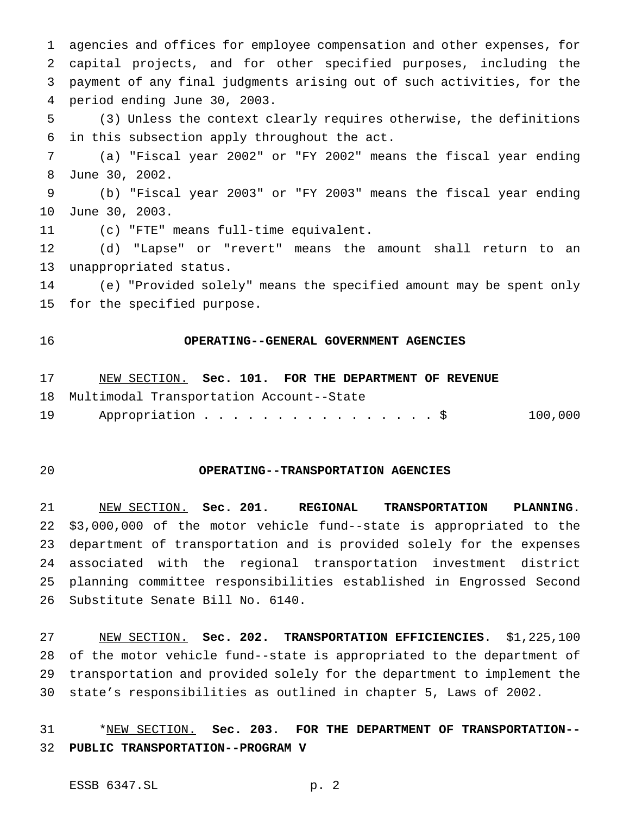agencies and offices for employee compensation and other expenses, for capital projects, and for other specified purposes, including the payment of any final judgments arising out of such activities, for the period ending June 30, 2003.

 (3) Unless the context clearly requires otherwise, the definitions in this subsection apply throughout the act.

 (a) "Fiscal year 2002" or "FY 2002" means the fiscal year ending June 30, 2002.

 (b) "Fiscal year 2003" or "FY 2003" means the fiscal year ending June 30, 2003.

(c) "FTE" means full-time equivalent.

 (d) "Lapse" or "revert" means the amount shall return to an unappropriated status.

 (e) "Provided solely" means the specified amount may be spent only for the specified purpose.

#### **OPERATING--GENERAL GOVERNMENT AGENCIES**

NEW SECTION. **Sec. 101. FOR THE DEPARTMENT OF REVENUE**

- Multimodal Transportation Account--State
- 19 Appropriation . . . . . . . . . . . . . . . \$ 100,000

### **OPERATING--TRANSPORTATION AGENCIES**

 NEW SECTION. **Sec. 201. REGIONAL TRANSPORTATION PLANNING**. \$3,000,000 of the motor vehicle fund--state is appropriated to the department of transportation and is provided solely for the expenses associated with the regional transportation investment district planning committee responsibilities established in Engrossed Second Substitute Senate Bill No. 6140.

 NEW SECTION. **Sec. 202. TRANSPORTATION EFFICIENCIES**. \$1,225,100 of the motor vehicle fund--state is appropriated to the department of transportation and provided solely for the department to implement the state's responsibilities as outlined in chapter 5, Laws of 2002.

 \*NEW SECTION. **Sec. 203. FOR THE DEPARTMENT OF TRANSPORTATION-- PUBLIC TRANSPORTATION--PROGRAM V**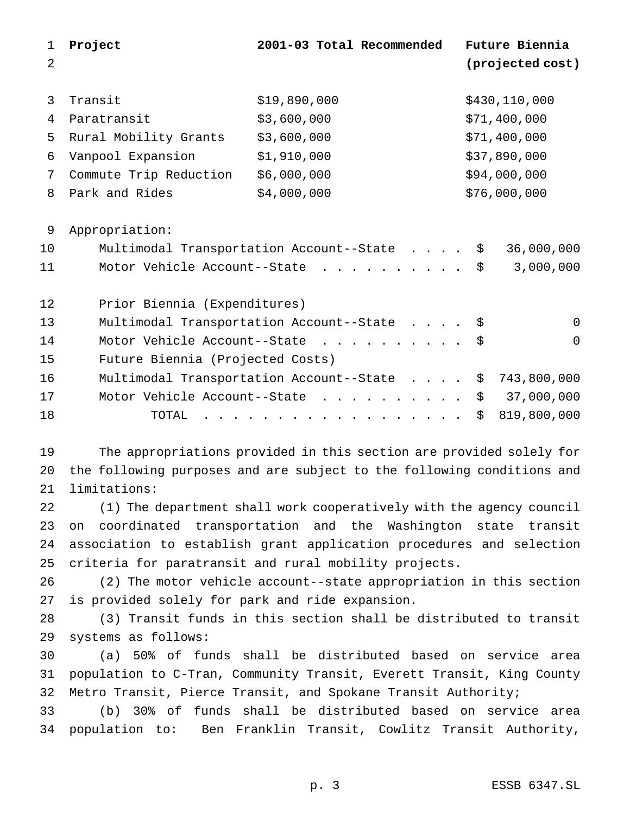| $\mathbf 1$ | Project                          | 2001-03 Total Recommended                                              | Future Biennia   |
|-------------|----------------------------------|------------------------------------------------------------------------|------------------|
| 2           |                                  |                                                                        | (projected cost) |
|             |                                  |                                                                        |                  |
| 3           | Transit                          | \$19,890,000                                                           | \$430,110,000    |
| 4           | Paratransit                      | \$3,600,000                                                            | \$71,400,000     |
| 5           | Rural Mobility Grants            | \$3,600,000                                                            | \$71,400,000     |
| 6           | Vanpool Expansion                | \$1,910,000                                                            | \$37,890,000     |
| 7           | Commute Trip Reduction           | \$6,000,000                                                            | \$94,000,000     |
| 8           | Park and Rides                   | \$4,000,000                                                            | \$76,000,000     |
|             |                                  |                                                                        |                  |
| 9           | Appropriation:                   |                                                                        |                  |
| 10          |                                  | Multimodal Transportation Account--State<br>\$                         | 36,000,000       |
| 11          |                                  | Motor Vehicle Account--State<br>\$                                     | 3,000,000        |
| 12          | Prior Biennia (Expenditures)     |                                                                        |                  |
| 13          |                                  | Multimodal Transportation Account--State<br>- \$                       | $\overline{0}$   |
| 14          |                                  | Motor Vehicle Account--State<br>\$                                     | 0                |
| 15          | Future Biennia (Projected Costs) |                                                                        |                  |
| 16          |                                  | Multimodal Transportation Account--State<br>\$                         | 743,800,000      |
| 17          |                                  | Motor Vehicle Account--State<br>\$                                     | 37,000,000       |
| 18          | TOTAL                            | \$.                                                                    | 819,800,000      |
|             |                                  |                                                                        |                  |
| 19          |                                  | The appropriations provided in this section are provided solely for    |                  |
| 20          |                                  | the following purposes and are subject to the following conditions and |                  |
| 21          | limitations:                     |                                                                        |                  |

 (1) The department shall work cooperatively with the agency council on coordinated transportation and the Washington state transit association to establish grant application procedures and selection criteria for paratransit and rural mobility projects.

 (2) The motor vehicle account--state appropriation in this section is provided solely for park and ride expansion.

 (3) Transit funds in this section shall be distributed to transit systems as follows:

 (a) 50% of funds shall be distributed based on service area population to C-Tran, Community Transit, Everett Transit, King County Metro Transit, Pierce Transit, and Spokane Transit Authority;

 (b) 30% of funds shall be distributed based on service area population to: Ben Franklin Transit, Cowlitz Transit Authority,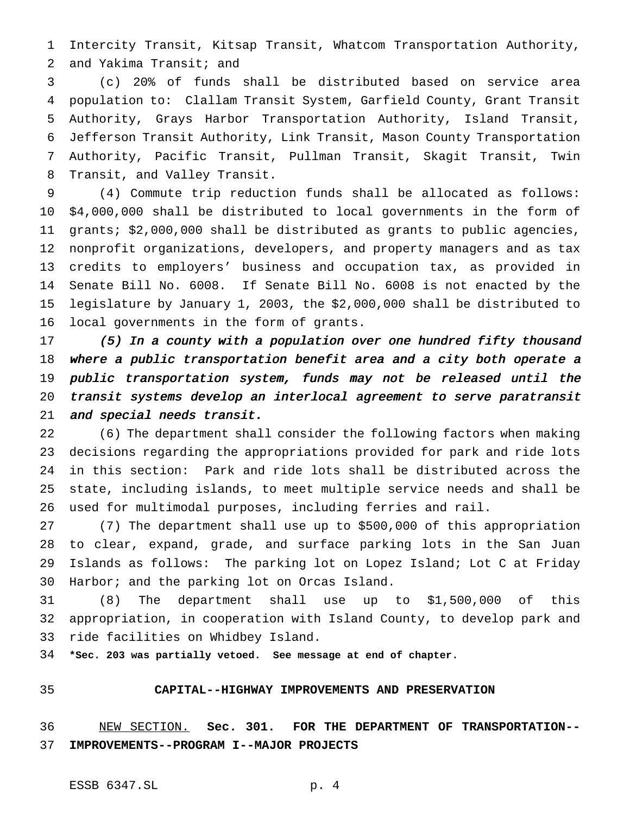Intercity Transit, Kitsap Transit, Whatcom Transportation Authority, and Yakima Transit; and

 (c) 20% of funds shall be distributed based on service area population to: Clallam Transit System, Garfield County, Grant Transit Authority, Grays Harbor Transportation Authority, Island Transit, Jefferson Transit Authority, Link Transit, Mason County Transportation Authority, Pacific Transit, Pullman Transit, Skagit Transit, Twin Transit, and Valley Transit.

 (4) Commute trip reduction funds shall be allocated as follows: \$4,000,000 shall be distributed to local governments in the form of grants; \$2,000,000 shall be distributed as grants to public agencies, nonprofit organizations, developers, and property managers and as tax credits to employers' business and occupation tax, as provided in Senate Bill No. 6008. If Senate Bill No. 6008 is not enacted by the legislature by January 1, 2003, the \$2,000,000 shall be distributed to local governments in the form of grants.

 (5) In <sup>a</sup> county with <sup>a</sup> population over one hundred fifty thousand where <sup>a</sup> public transportation benefit area and <sup>a</sup> city both operate <sup>a</sup> public transportation system, funds may not be released until the transit systems develop an interlocal agreement to serve paratransit and special needs transit.

 (6) The department shall consider the following factors when making decisions regarding the appropriations provided for park and ride lots in this section: Park and ride lots shall be distributed across the state, including islands, to meet multiple service needs and shall be used for multimodal purposes, including ferries and rail.

 (7) The department shall use up to \$500,000 of this appropriation to clear, expand, grade, and surface parking lots in the San Juan Islands as follows: The parking lot on Lopez Island; Lot C at Friday Harbor; and the parking lot on Orcas Island.

 (8) The department shall use up to \$1,500,000 of this appropriation, in cooperation with Island County, to develop park and ride facilities on Whidbey Island.

**\*Sec. 203 was partially vetoed. See message at end of chapter.**

# **CAPITAL--HIGHWAY IMPROVEMENTS AND PRESERVATION**

 NEW SECTION. **Sec. 301. FOR THE DEPARTMENT OF TRANSPORTATION-- IMPROVEMENTS--PROGRAM I--MAJOR PROJECTS**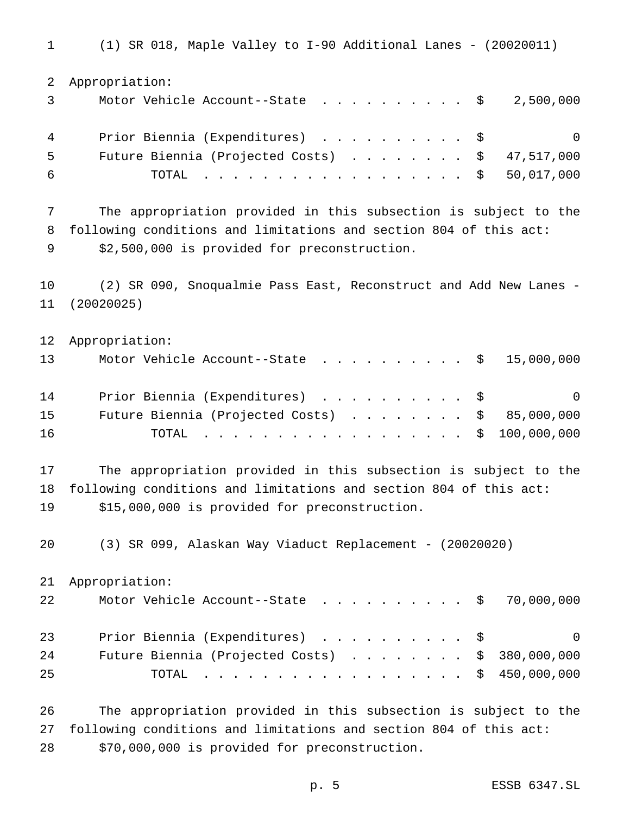(1) SR 018, Maple Valley to I-90 Additional Lanes - (20020011) Appropriation: Motor Vehicle Account--State .......... \$ 2,500,000 Prior Biennia (Expenditures) .......... \$ 0 Future Biennia (Projected Costs) ........ \$ 47,517,000 TOTAL .................. \$ 50,017,000 The appropriation provided in this subsection is subject to the following conditions and limitations and section 804 of this act: \$2,500,000 is provided for preconstruction. (2) SR 090, Snoqualmie Pass East, Reconstruct and Add New Lanes - (20020025) Appropriation: 13 Motor Vehicle Account--State . . . . . . . . . \$ 15,000,000 14 Prior Biennia (Expenditures) . . . . . . . . . \$ 0 Future Biennia (Projected Costs) ........ \$ 85,000,000 TOTAL .................. \$ 100,000,000 The appropriation provided in this subsection is subject to the following conditions and limitations and section 804 of this act: \$15,000,000 is provided for preconstruction. (3) SR 099, Alaskan Way Viaduct Replacement - (20020020) Appropriation: 22 Motor Vehicle Account--State . . . . . . . . . \$ 70,000,000 23 Prior Biennia (Expenditures) . . . . . . . . . \$ 0 24 Future Biennia (Projected Costs) . . . . . . . \$ 380,000,000 TOTAL .................. \$ 450,000,000 The appropriation provided in this subsection is subject to the following conditions and limitations and section 804 of this act:

\$70,000,000 is provided for preconstruction.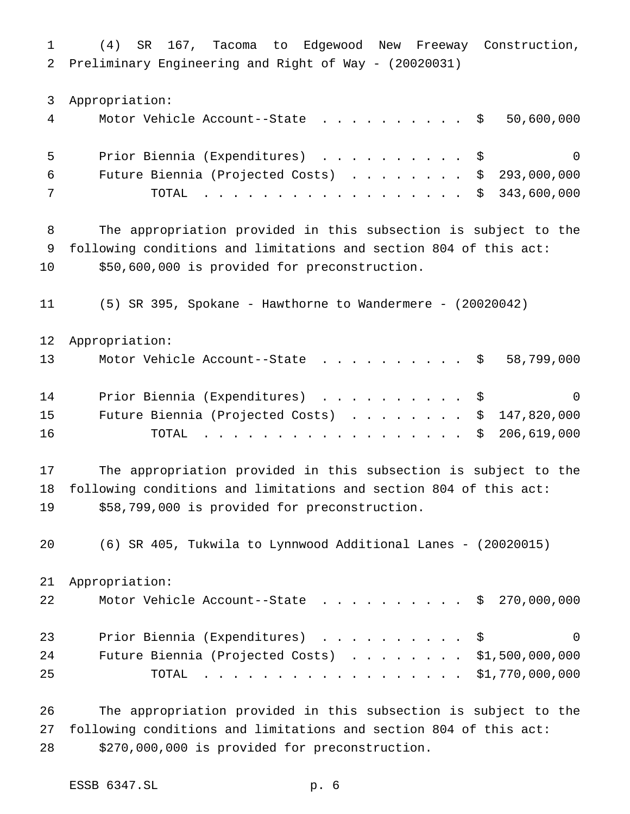(4) SR 167, Tacoma to Edgewood New Freeway Construction, Preliminary Engineering and Right of Way - (20020031) Appropriation: Motor Vehicle Account--State .......... \$ 50,600,000 Prior Biennia (Expenditures) .......... \$ 0 Future Biennia (Projected Costs) ........ \$ 293,000,000 TOTAL .................. \$ 343,600,000 The appropriation provided in this subsection is subject to the following conditions and limitations and section 804 of this act: \$50,600,000 is provided for preconstruction. (5) SR 395, Spokane - Hawthorne to Wandermere - (20020042) Appropriation: 13 Motor Vehicle Account--State . . . . . . . . . \$ 58,799,000 14 Prior Biennia (Expenditures) . . . . . . . . . \$ 0 15 Future Biennia (Projected Costs) . . . . . . . \$ 147,820,000 16 TOTAL . . . . . . . . . . . . . . . . \$ 206,619,000 The appropriation provided in this subsection is subject to the following conditions and limitations and section 804 of this act: \$58,799,000 is provided for preconstruction. (6) SR 405, Tukwila to Lynnwood Additional Lanes - (20020015) Appropriation: 22 Motor Vehicle Account--State . . . . . . . . . \$ 270,000,000 23 Prior Biennia (Expenditures) . . . . . . . . . \$ 0 Future Biennia (Projected Costs) ........ \$1,500,000,000 TOTAL .................. \$1,770,000,000 The appropriation provided in this subsection is subject to the following conditions and limitations and section 804 of this act:

\$270,000,000 is provided for preconstruction.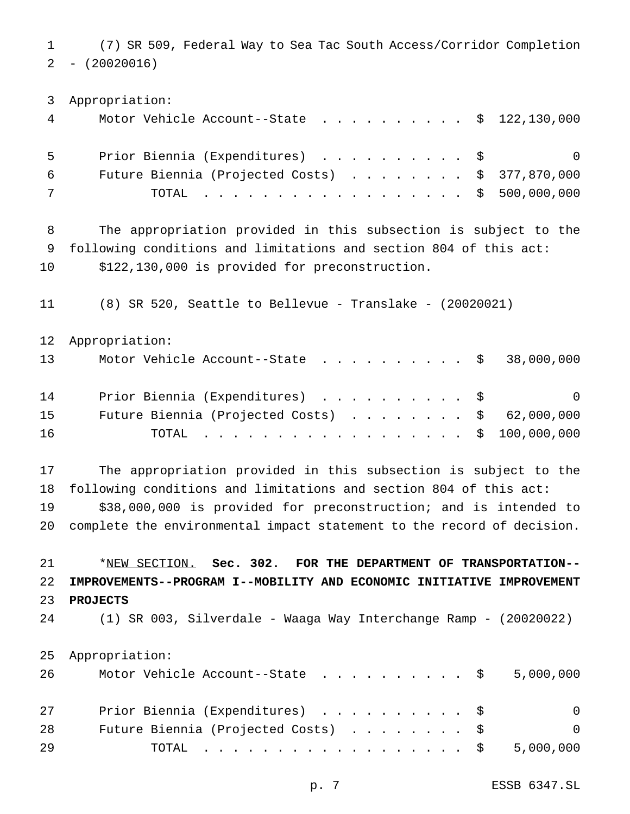(7) SR 509, Federal Way to Sea Tac South Access/Corridor Completion  $2 - (20020016)$ 

 Appropriation: Motor Vehicle Account--State .......... \$ 122,130,000 Prior Biennia (Expenditures) .......... \$ 0 Future Biennia (Projected Costs) ........ \$ 377,870,000 TOTAL .................. \$ 500,000,000 The appropriation provided in this subsection is subject to the following conditions and limitations and section 804 of this act: \$122,130,000 is provided for preconstruction. (8) SR 520, Seattle to Bellevue - Translake - (20020021) Appropriation: 13 Motor Vehicle Account--State . . . . . . . . . \$ 38,000,000 14 Prior Biennia (Expenditures) . . . . . . . . . \$ 0 15 Future Biennia (Projected Costs) . . . . . . . \$ 62,000,000 TOTAL .................. \$ 100,000,000 The appropriation provided in this subsection is subject to the following conditions and limitations and section 804 of this act: \$38,000,000 is provided for preconstruction; and is intended to complete the environmental impact statement to the record of decision. \*NEW SECTION. **Sec. 302. FOR THE DEPARTMENT OF TRANSPORTATION-- IMPROVEMENTS--PROGRAM I--MOBILITY AND ECONOMIC INITIATIVE IMPROVEMENT PROJECTS** (1) SR 003, Silverdale - Waaga Way Interchange Ramp - (20020022) Appropriation: 26 Motor Vehicle Account--State . . . . . . . . . \$ 5,000,000 27 Prior Biennia (Expenditures) . . . . . . . . . \$ 0 Future Biennia (Projected Costs) ........ \$ 0 TOTAL .................. \$ 5,000,000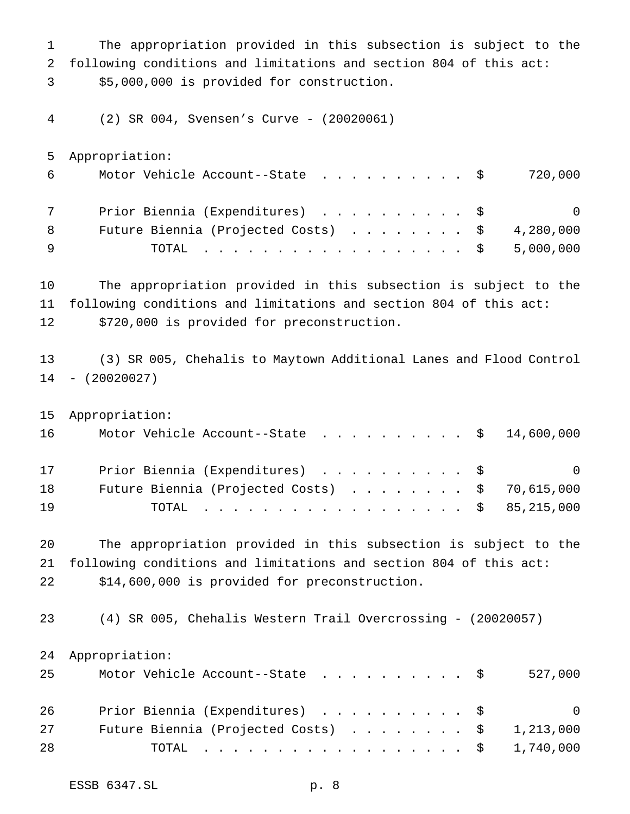The appropriation provided in this subsection is subject to the following conditions and limitations and section 804 of this act: \$5,000,000 is provided for construction.

(2) SR 004, Svensen's Curve - (20020061)

Appropriation:

| 6 | Motor Vehicle Account--State $\ldots$ \$ 720,000       |                |
|---|--------------------------------------------------------|----------------|
|   | Prior Biennia (Expenditures) \$                        | $\overline{0}$ |
| 8 | Future Biennia (Projected Costs) $\ldots$ \$ 4,280,000 |                |
|   | TOTAL \$ 5,000,000                                     |                |

 The appropriation provided in this subsection is subject to the following conditions and limitations and section 804 of this act: \$720,000 is provided for preconstruction.

 (3) SR 005, Chehalis to Maytown Additional Lanes and Flood Control - (20020027)

|      | 15 Appropriation:                                       |
|------|---------------------------------------------------------|
| 16 — | Motor Vehicle Account--State $\ldots$ \$ 14,600,000     |
| 17   | Prior Biennia (Expenditures) \$<br>- 0                  |
| 18   | Future Biennia (Projected Costs) $\ldots$ \$ 70,615,000 |
| 19   | TOTAL \$ 85,215,000                                     |

 The appropriation provided in this subsection is subject to the following conditions and limitations and section 804 of this act: \$14,600,000 is provided for preconstruction.

(4) SR 005, Chehalis Western Trail Overcrossing - (20020057)

Appropriation:

| 25 | Motor Vehicle Account--State \$                        | 527,000        |
|----|--------------------------------------------------------|----------------|
| 26 | Prior Biennia (Expenditures) \$                        | $\overline{0}$ |
| 27 | Future Biennia (Projected Costs) $\ldots$ \$ 1,213,000 |                |
| 28 | TOTAL \$ 1,740,000                                     |                |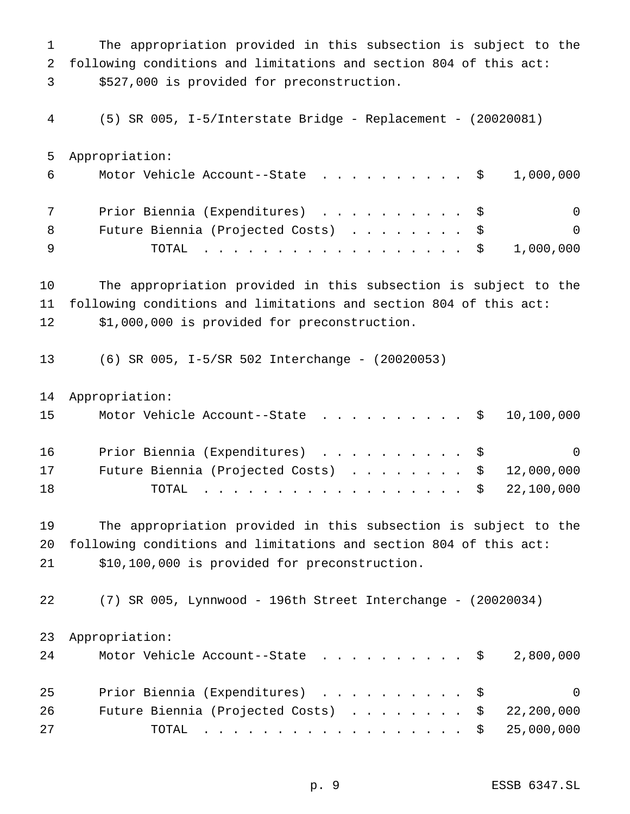The appropriation provided in this subsection is subject to the following conditions and limitations and section 804 of this act: \$527,000 is provided for preconstruction.

(5) SR 005, I-5/Interstate Bridge - Replacement - (20020081)

Appropriation:

| 6   | Motor Vehicle Account--State $\ldots$ \$ 1,000,000 |          |
|-----|----------------------------------------------------|----------|
|     | Prior Biennia (Expenditures) \$                    | $\Omega$ |
| - 8 | Future Biennia (Projected Costs) \$                | - 0      |
|     | TOTAL \$ 1,000,000                                 |          |

 The appropriation provided in this subsection is subject to the following conditions and limitations and section 804 of this act: \$1,000,000 is provided for preconstruction.

(6) SR 005, I-5/SR 502 Interchange - (20020053)

Appropriation:

| 15 | Motor Vehicle Account--State $\ldots$ \$ 10,100,000     |  |
|----|---------------------------------------------------------|--|
| 16 | Prior Biennia (Expenditures) \$ 0                       |  |
| 17 | Future Biennia (Projected Costs) $\ldots$ \$ 12,000,000 |  |
| 18 | TOTAL \$ 22,100,000                                     |  |

 The appropriation provided in this subsection is subject to the following conditions and limitations and section 804 of this act: \$10,100,000 is provided for preconstruction.

 (7) SR 005, Lynnwood - 196th Street Interchange - (20020034) Appropriation:

| 24 | Motor Vehicle Account--State $\ldots$ \$ 2,800,000      |                |
|----|---------------------------------------------------------|----------------|
| 25 | Prior Biennia (Expenditures) \$                         | $\overline{0}$ |
| 26 | Future Biennia (Projected Costs) $\ldots$ \$ 22,200,000 |                |
| 27 | TOTAL \$ 25,000,000                                     |                |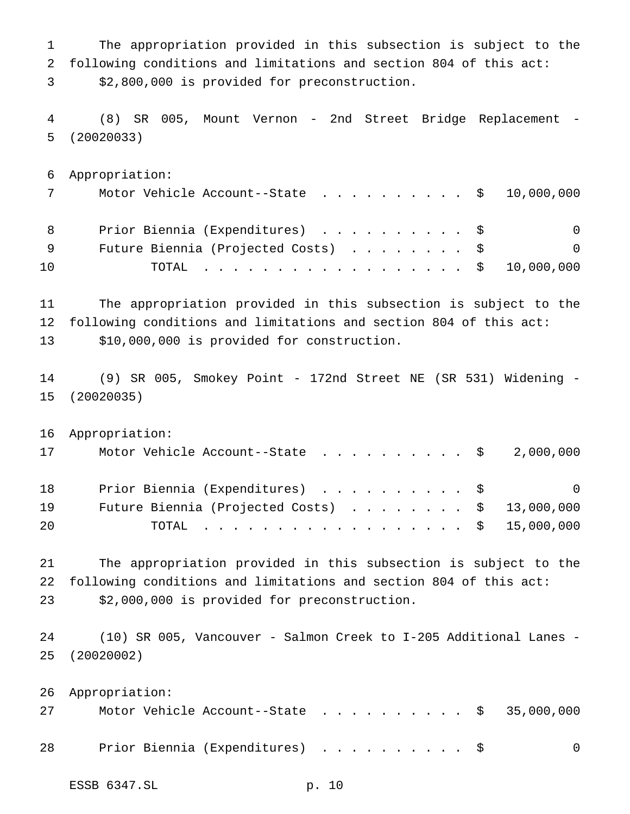The appropriation provided in this subsection is subject to the following conditions and limitations and section 804 of this act: \$2,800,000 is provided for preconstruction.

 (8) SR 005, Mount Vernon - 2nd Street Bridge Replacement - (20020033)

 Appropriation: 7 Motor Vehicle Account--State . . . . . . . . . \$ 10,000,000 8 Prior Biennia (Expenditures) . . . . . . . . . \$ 0 9 Future Biennia (Projected Costs) . . . . . . . \$ 0 TOTAL .................. \$ 10,000,000

 The appropriation provided in this subsection is subject to the following conditions and limitations and section 804 of this act: \$10,000,000 is provided for construction.

 (9) SR 005, Smokey Point - 172nd Street NE (SR 531) Widening - (20020035)

 Appropriation: 17 Motor Vehicle Account--State . . . . . . . . . \$ 2,000,000 18 Prior Biennia (Expenditures) . . . . . . . . . \$ 0 19 Future Biennia (Projected Costs) . . . . . . . \$ 13,000,000 TOTAL .................. \$ 15,000,000

 The appropriation provided in this subsection is subject to the following conditions and limitations and section 804 of this act: \$2,000,000 is provided for preconstruction.

 (10) SR 005, Vancouver - Salmon Creek to I-205 Additional Lanes - (20020002)

|    | 26 Appropriation:               |                                                     |          |
|----|---------------------------------|-----------------------------------------------------|----------|
| 27 |                                 | Motor Vehicle Account--State $\ldots$ \$ 35,000,000 |          |
| 28 | Prior Biennia (Expenditures) \$ |                                                     | $\Omega$ |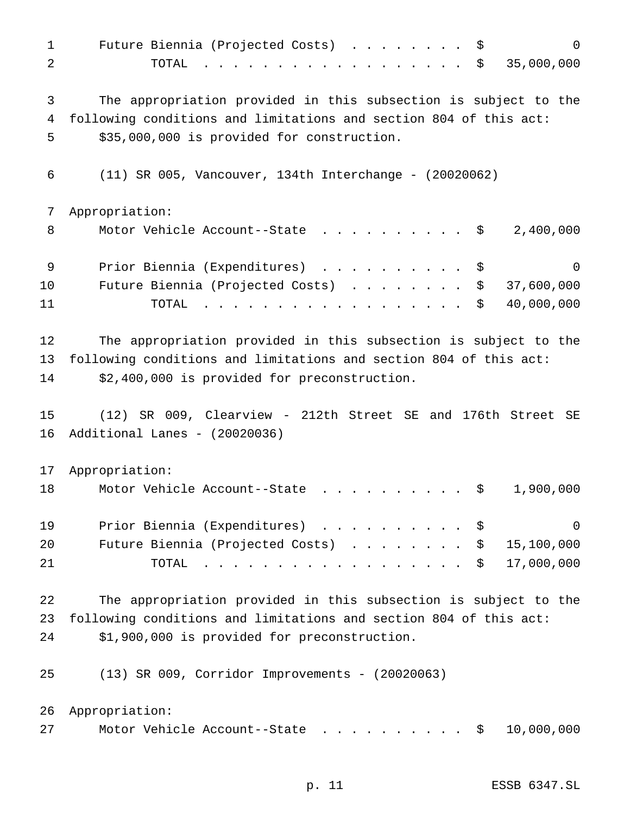| $\mathbf{1}$<br>2 | $\mathbf 0$<br>Future Biennia (Projected Costs) \$<br>35,000,000<br>TOTAL<br>\$                                                      |
|-------------------|--------------------------------------------------------------------------------------------------------------------------------------|
| 3<br>4            | The appropriation provided in this subsection is subject to the<br>following conditions and limitations and section 804 of this act: |
| 5                 | \$35,000,000 is provided for construction.                                                                                           |
| 6                 | $(11)$ SR 005, Vancouver, 134th Interchange - $(20020062)$                                                                           |
| 7                 | Appropriation:                                                                                                                       |
| 8                 | Motor Vehicle Account--State<br>2,400,000<br>- \$                                                                                    |
| 9                 | Prior Biennia (Expenditures) \$<br>$\overline{0}$                                                                                    |
| 10                | 37,600,000<br>Future Biennia (Projected Costs)<br>\$                                                                                 |
| 11                | 40,000,000<br>\$<br>TOTAL                                                                                                            |
| 12                | The appropriation provided in this subsection is subject to the                                                                      |
| 13                | following conditions and limitations and section 804 of this act:                                                                    |
| 14                | \$2,400,000 is provided for preconstruction.                                                                                         |
| 15                | (12) SR 009, Clearview - 212th Street SE and 176th Street SE                                                                         |
| 16                | Additional Lanes - (20020036)                                                                                                        |
| 17                | Appropriation:                                                                                                                       |
| 18                | Motor Vehicle Account--State<br>\$<br>1,900,000                                                                                      |
| 19                | Prior Biennia (Expenditures)<br>0<br>- \$                                                                                            |
| 20                | Future Biennia (Projected Costs)<br>15,100,000<br>\$                                                                                 |
| 21                | 17,000,000<br>TOTAL<br>\$                                                                                                            |
| 22                | The appropriation provided in this subsection is subject to the                                                                      |
| 23                | following conditions and limitations and section 804 of this act:                                                                    |
| 24                | \$1,900,000 is provided for preconstruction.                                                                                         |
| 25                | (13) SR 009, Corridor Improvements - (20020063)                                                                                      |
| 26                | Appropriation:                                                                                                                       |
| 27                | Motor Vehicle Account--State<br>10,000,000<br>\$                                                                                     |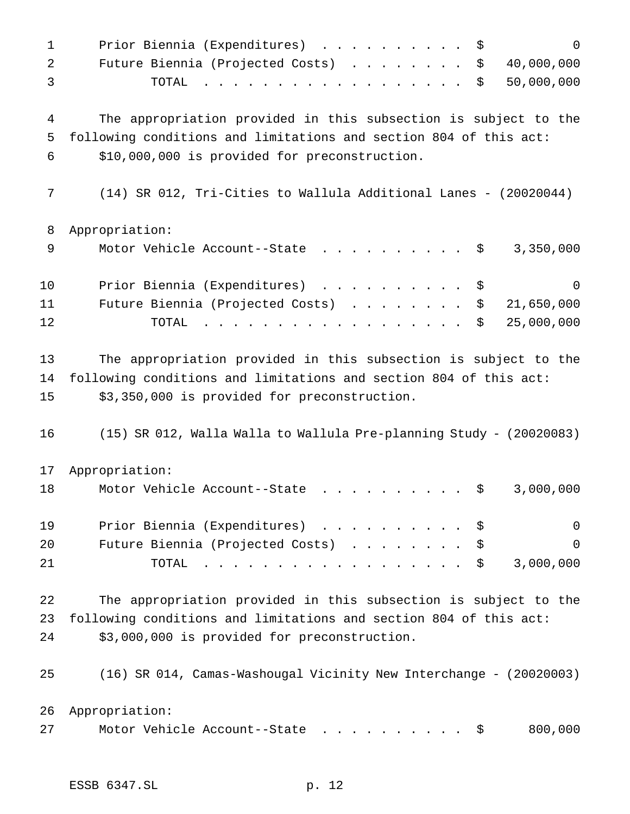| $\mathbf 1$ | Prior Biennia (Expenditures)<br>$\mathbf 0$<br>\$                                                                                                                                                                                                                 |
|-------------|-------------------------------------------------------------------------------------------------------------------------------------------------------------------------------------------------------------------------------------------------------------------|
| 2           | Future Biennia (Projected Costs)<br>40,000,000<br>\$                                                                                                                                                                                                              |
| 3           | 50,000,000<br>TOTAL<br>\$<br><u>in the community of the community of the community of the community of the community of the community of the community of the community of the community of the community of the community of the community of the community </u> |
|             |                                                                                                                                                                                                                                                                   |
| 4           | The appropriation provided in this subsection is subject to the                                                                                                                                                                                                   |
| 5<br>6      | following conditions and limitations and section 804 of this act:<br>\$10,000,000 is provided for preconstruction.                                                                                                                                                |
|             |                                                                                                                                                                                                                                                                   |
| 7           | $(14)$ SR 012, Tri-Cities to Wallula Additional Lanes - $(20020044)$                                                                                                                                                                                              |
| 8           | Appropriation:                                                                                                                                                                                                                                                    |
| 9           | Motor Vehicle Account--State<br>3,350,000<br>\$                                                                                                                                                                                                                   |
| 10          | Prior Biennia (Expenditures)<br>\$<br>0                                                                                                                                                                                                                           |
| 11          | Future Biennia (Projected Costs)<br>21,650,000<br>\$                                                                                                                                                                                                              |
| 12          | 25,000,000<br>TOTAL<br>\$                                                                                                                                                                                                                                         |
| 13          | The appropriation provided in this subsection is subject to the                                                                                                                                                                                                   |
| 14          | following conditions and limitations and section 804 of this act:                                                                                                                                                                                                 |
| 15          | \$3,350,000 is provided for preconstruction.                                                                                                                                                                                                                      |
| 16          | $(15)$ SR 012, Walla Walla to Wallula Pre-planning Study - $(20020083)$                                                                                                                                                                                           |
| 17          | Appropriation:                                                                                                                                                                                                                                                    |
| 18          | 3,000,000<br>Motor Vehicle Account--State<br>\$                                                                                                                                                                                                                   |
| 19          | Prior Biennia (Expenditures)<br>0<br>\$                                                                                                                                                                                                                           |
| 20          | Future Biennia (Projected Costs)<br>$\overline{0}$<br>\$                                                                                                                                                                                                          |
| 21          | 3,000,000<br>TOTAL<br>\$                                                                                                                                                                                                                                          |
| 22          | The appropriation provided in this subsection is subject to the                                                                                                                                                                                                   |
| 23          | following conditions and limitations and section 804 of this act:                                                                                                                                                                                                 |
| 24          | \$3,000,000 is provided for preconstruction.                                                                                                                                                                                                                      |
| 25          | (16) SR 014, Camas-Washougal Vicinity New Interchange - (20020003)                                                                                                                                                                                                |
| 26          | Appropriation:                                                                                                                                                                                                                                                    |
| 27          | Motor Vehicle Account--State<br>800,000<br>— Ş                                                                                                                                                                                                                    |
|             |                                                                                                                                                                                                                                                                   |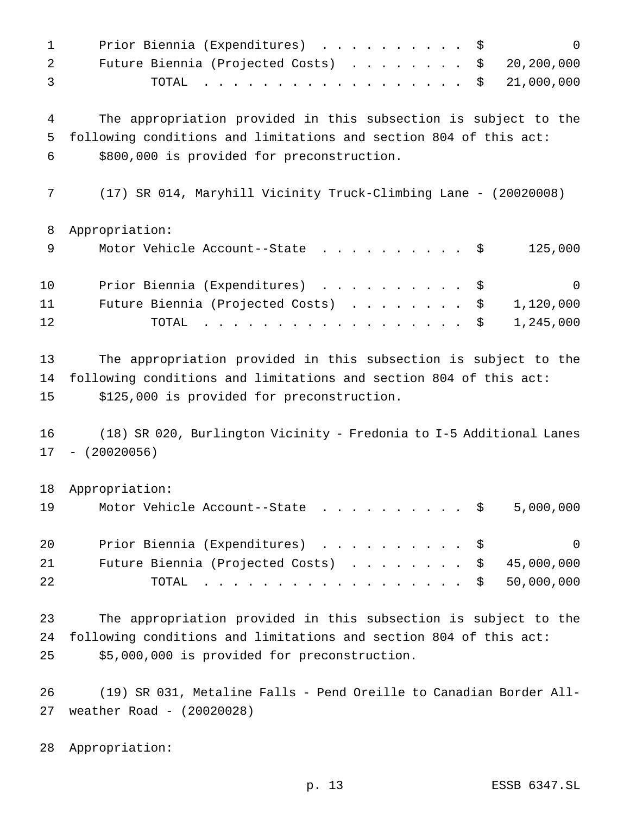| $\mathbf 1$ | Prior Biennia (Expenditures)<br>\$<br>$\Omega$                                                                                                                                                                                                                                                                                                                                                                                                                                          |
|-------------|-----------------------------------------------------------------------------------------------------------------------------------------------------------------------------------------------------------------------------------------------------------------------------------------------------------------------------------------------------------------------------------------------------------------------------------------------------------------------------------------|
| 2           | 20,200,000<br>Future Biennia (Projected Costs)<br>\$                                                                                                                                                                                                                                                                                                                                                                                                                                    |
| 3           | 21,000,000<br>TOTAL<br>\$<br>$\mathbf{1} \qquad \mathbf{1} \qquad \mathbf{1} \qquad \mathbf{1} \qquad \mathbf{1} \qquad \mathbf{1} \qquad \mathbf{1} \qquad \mathbf{1} \qquad \mathbf{1} \qquad \mathbf{1} \qquad \mathbf{1} \qquad \mathbf{1} \qquad \mathbf{1} \qquad \mathbf{1} \qquad \mathbf{1} \qquad \mathbf{1} \qquad \mathbf{1} \qquad \mathbf{1} \qquad \mathbf{1} \qquad \mathbf{1} \qquad \mathbf{1} \qquad \mathbf{1} \qquad \mathbf{1} \qquad \mathbf{1} \qquad \mathbf{$ |
| 4           | The appropriation provided in this subsection is subject to the                                                                                                                                                                                                                                                                                                                                                                                                                         |
| 5           | following conditions and limitations and section 804 of this act:                                                                                                                                                                                                                                                                                                                                                                                                                       |
| 6           | \$800,000 is provided for preconstruction.                                                                                                                                                                                                                                                                                                                                                                                                                                              |
| 7           | (17) SR 014, Maryhill Vicinity Truck-Climbing Lane - (20020008)                                                                                                                                                                                                                                                                                                                                                                                                                         |
| 8           | Appropriation:                                                                                                                                                                                                                                                                                                                                                                                                                                                                          |
| 9           | 125,000<br>Motor Vehicle Account--State \$                                                                                                                                                                                                                                                                                                                                                                                                                                              |
| 10          | Prior Biennia (Expenditures)<br>$\Omega$<br>\$                                                                                                                                                                                                                                                                                                                                                                                                                                          |
| 11          | Future Biennia (Projected Costs)<br>1,120,000<br>\$                                                                                                                                                                                                                                                                                                                                                                                                                                     |
| 12          | 1,245,000<br>TOTAL<br>\$<br>$\frac{1}{2}$                                                                                                                                                                                                                                                                                                                                                                                                                                               |
| 13          | The appropriation provided in this subsection is subject to the                                                                                                                                                                                                                                                                                                                                                                                                                         |
| 14          | following conditions and limitations and section 804 of this act:                                                                                                                                                                                                                                                                                                                                                                                                                       |
| 15          | \$125,000 is provided for preconstruction.                                                                                                                                                                                                                                                                                                                                                                                                                                              |
| 16          | (18) SR 020, Burlington Vicinity - Fredonia to I-5 Additional Lanes                                                                                                                                                                                                                                                                                                                                                                                                                     |
| 17          | $-$ (20020056)                                                                                                                                                                                                                                                                                                                                                                                                                                                                          |
| 18          | Appropriation:                                                                                                                                                                                                                                                                                                                                                                                                                                                                          |
| 19          | 5,000,000<br>Motor Vehicle Account--State<br>- \$                                                                                                                                                                                                                                                                                                                                                                                                                                       |
| 20          | Prior Biennia (Expenditures)<br>$\Omega$<br>\$                                                                                                                                                                                                                                                                                                                                                                                                                                          |
| 21          | 45,000,000<br>Future Biennia (Projected Costs)<br>\$                                                                                                                                                                                                                                                                                                                                                                                                                                    |
| 22          | 50,000,000<br>TOTAL<br>$\frac{1}{2}$<br>\$                                                                                                                                                                                                                                                                                                                                                                                                                                              |
| 23          | The appropriation provided in this subsection is subject to the                                                                                                                                                                                                                                                                                                                                                                                                                         |
| 24          | following conditions and limitations and section 804 of this act:                                                                                                                                                                                                                                                                                                                                                                                                                       |
| 25          | \$5,000,000 is provided for preconstruction.                                                                                                                                                                                                                                                                                                                                                                                                                                            |

 (19) SR 031, Metaline Falls - Pend Oreille to Canadian Border All-weather Road - (20020028)

Appropriation: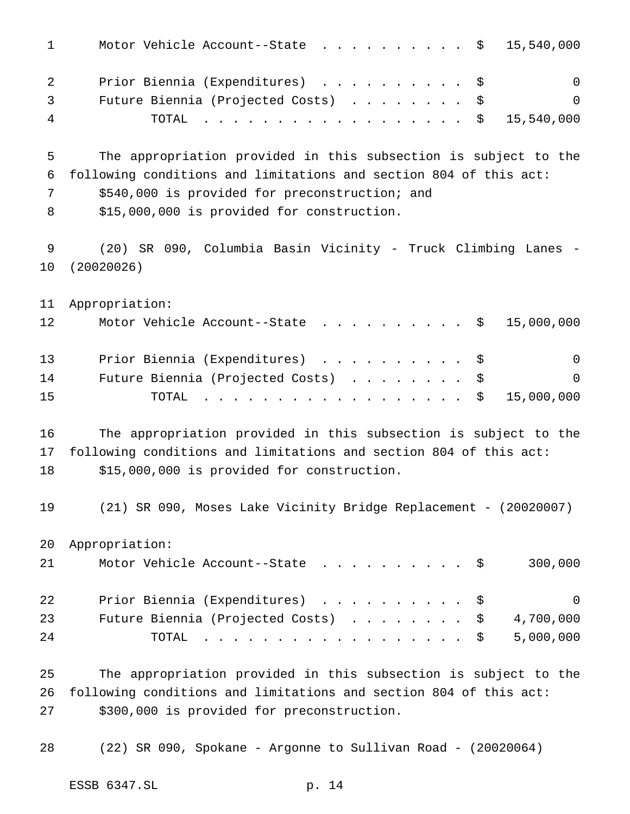| $\mathbf 1$      | Motor Vehicle Account--State \$<br>15,540,000                                                                                                                                                                                                                                           |
|------------------|-----------------------------------------------------------------------------------------------------------------------------------------------------------------------------------------------------------------------------------------------------------------------------------------|
| 2<br>3<br>4      | Prior Biennia (Expenditures)<br>$\overline{0}$<br>\$<br>Future Biennia (Projected Costs)<br>\$<br>0<br>15,540,000<br>TOTAL<br>\$<br>$\mathbf{r}$ , $\mathbf{r}$ , $\mathbf{r}$ , $\mathbf{r}$ , $\mathbf{r}$ , $\mathbf{r}$ , $\mathbf{r}$ , $\mathbf{r}$ , $\mathbf{r}$ , $\mathbf{r}$ |
| 5<br>6<br>7<br>8 | The appropriation provided in this subsection is subject to the<br>following conditions and limitations and section 804 of this act:<br>\$540,000 is provided for preconstruction; and<br>\$15,000,000 is provided for construction.                                                    |
| 9<br>10          | (20) SR 090, Columbia Basin Vicinity - Truck Climbing Lanes<br>(20020026)                                                                                                                                                                                                               |
| 11<br>12         | Appropriation:<br>Motor Vehicle Account--State<br>15,000,000<br>Ş.                                                                                                                                                                                                                      |
| 13<br>14<br>15   | Prior Biennia (Expenditures)<br>$\Omega$<br>\$<br>Future Biennia (Projected Costs)<br>$\mathsf{O}$<br>\$<br>15,000,000<br>TOTAL<br>\$<br>$\mathbf{r}$ , $\mathbf{r}$ , $\mathbf{r}$ , $\mathbf{r}$ , $\mathbf{r}$ , $\mathbf{r}$ , $\mathbf{r}$                                         |
| 16<br>17<br>18   | The appropriation provided in this subsection is subject to the<br>following conditions and limitations and section 804 of this act:<br>\$15,000,000 is provided for construction.                                                                                                      |
| 19               | (21) SR 090, Moses Lake Vicinity Bridge Replacement - (20020007)                                                                                                                                                                                                                        |
| 20<br>21         | Appropriation:<br>300,000<br>Motor Vehicle Account--State<br>$\cdot$ \$                                                                                                                                                                                                                 |
| 22<br>23<br>24   | Prior Biennia (Expenditures)<br>0<br>\$<br>4,700,000<br>Future Biennia (Projected Costs)<br>\$<br>5,000,000<br>TOTAL $\hat{S}$                                                                                                                                                          |
| 25<br>26<br>27   | The appropriation provided in this subsection is subject to the<br>following conditions and limitations and section 804 of this act:<br>\$300,000 is provided for preconstruction.                                                                                                      |

(22) SR 090, Spokane - Argonne to Sullivan Road - (20020064)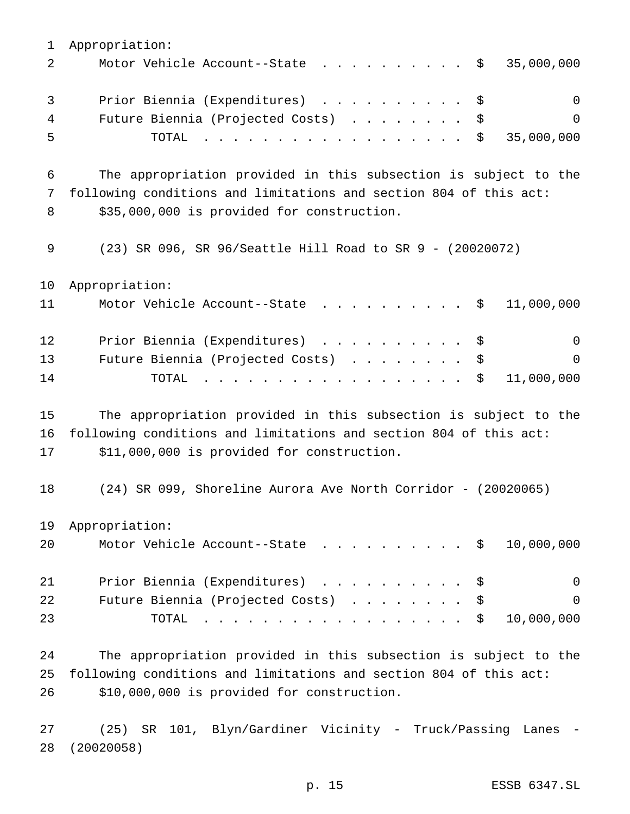Appropriation: 2 Motor Vehicle Account--State . . . . . . . . . \$ 35,000,000 3 Prior Biennia (Expenditures) . . . . . . . . . \$ 0 Future Biennia (Projected Costs) ........ \$ 0 TOTAL .................. \$ 35,000,000 The appropriation provided in this subsection is subject to the following conditions and limitations and section 804 of this act: 8 \$35,000,000 is provided for construction. (23) SR 096, SR 96/Seattle Hill Road to SR 9 - (20020072) Appropriation: 11 Motor Vehicle Account--State . . . . . . . . . \$ 11,000,000 12 Prior Biennia (Expenditures) . . . . . . . . . \$ 0 Future Biennia (Projected Costs) ........ \$ 0 14 TOTAL . . . . . . . . . . . . . . . . \$ 11,000,000 The appropriation provided in this subsection is subject to the following conditions and limitations and section 804 of this act: \$11,000,000 is provided for construction. (24) SR 099, Shoreline Aurora Ave North Corridor - (20020065) Appropriation: 20 Motor Vehicle Account--State . . . . . . . . . \$ 10,000,000 21 Prior Biennia (Expenditures) . . . . . . . . . \$ 0 Future Biennia (Projected Costs) ........ \$ 0 TOTAL .................. \$ 10,000,000 The appropriation provided in this subsection is subject to the following conditions and limitations and section 804 of this act: \$10,000,000 is provided for construction.

 (25) SR 101, Blyn/Gardiner Vicinity - Truck/Passing Lanes - (20020058)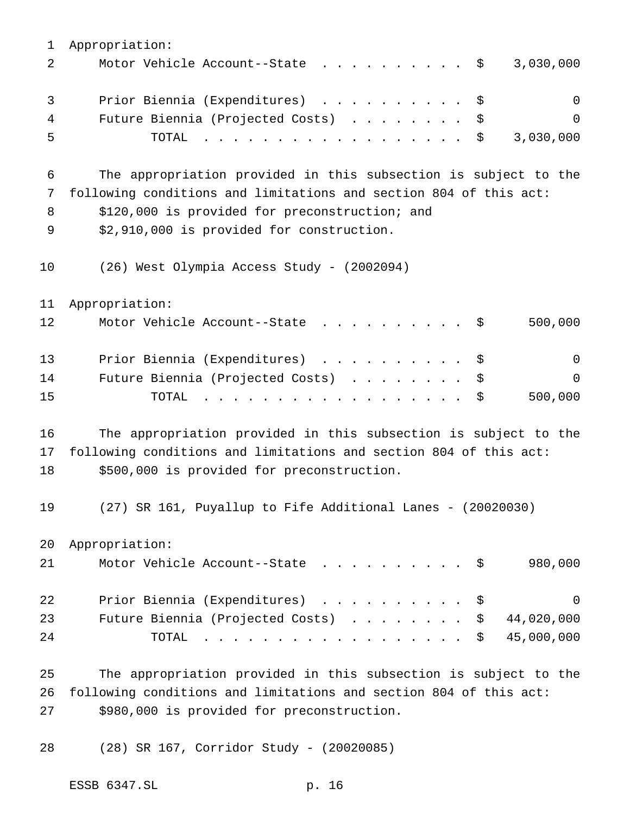| $\mathbf 1$ | Appropriation:                                                                                                                                                                                                                                                   |
|-------------|------------------------------------------------------------------------------------------------------------------------------------------------------------------------------------------------------------------------------------------------------------------|
| 2           | Motor Vehicle Account--State<br>3,030,000<br>- \$                                                                                                                                                                                                                |
| 3           | Prior Biennia (Expenditures)<br>$\overline{0}$<br>\$                                                                                                                                                                                                             |
| 4           | Future Biennia (Projected Costs)<br>0<br>\$                                                                                                                                                                                                                      |
| 5           | 3,030,000<br>TOTAL<br>\$<br><u>in the second contract of the second contract of the second contract of the second contract of the second contract of the second contract of the second contract of the second contract of the second contract of the second </u> |
| 6           | The appropriation provided in this subsection is subject to the                                                                                                                                                                                                  |
| 7           | following conditions and limitations and section 804 of this act:                                                                                                                                                                                                |
| 8           | \$120,000 is provided for preconstruction; and                                                                                                                                                                                                                   |
| 9           | \$2,910,000 is provided for construction.                                                                                                                                                                                                                        |
| 10          | (26) West Olympia Access Study - (2002094)                                                                                                                                                                                                                       |
| 11          | Appropriation:                                                                                                                                                                                                                                                   |
| 12          | Motor Vehicle Account--State<br>500,000<br>- \$                                                                                                                                                                                                                  |
| 13          | Prior Biennia (Expenditures)<br>$\mathbf 0$<br>\$                                                                                                                                                                                                                |
| 14          | Future Biennia (Projected Costs)<br>$\Omega$<br>\$                                                                                                                                                                                                               |
| 15          | 500,000<br>\$<br>TOTAL<br>.                                                                                                                                                                                                                                      |
| 16          | The appropriation provided in this subsection is subject to the                                                                                                                                                                                                  |
| 17          | following conditions and limitations and section 804 of this act:                                                                                                                                                                                                |
| 18          | \$500,000 is provided for preconstruction.                                                                                                                                                                                                                       |
| 19          | (27) SR 161, Puyallup to Fife Additional Lanes - (20020030)                                                                                                                                                                                                      |
| 20          | Appropriation:                                                                                                                                                                                                                                                   |
| 21          | 980,000<br>Motor Vehicle Account--State<br>- \$                                                                                                                                                                                                                  |
| 22          | Prior Biennia (Expenditures)<br>$\mathsf{O}$<br>\$                                                                                                                                                                                                               |
| 23          | Future Biennia (Projected Costs)<br>44,020,000<br>\$                                                                                                                                                                                                             |
| 24          | 45,000,000<br>\$<br>TOTAL<br>.                                                                                                                                                                                                                                   |
| 25          | The appropriation provided in this subsection is subject to the                                                                                                                                                                                                  |
| 26          | following conditions and limitations and section 804 of this act:                                                                                                                                                                                                |
| 27          | \$980,000 is provided for preconstruction.                                                                                                                                                                                                                       |

(28) SR 167, Corridor Study - (20020085)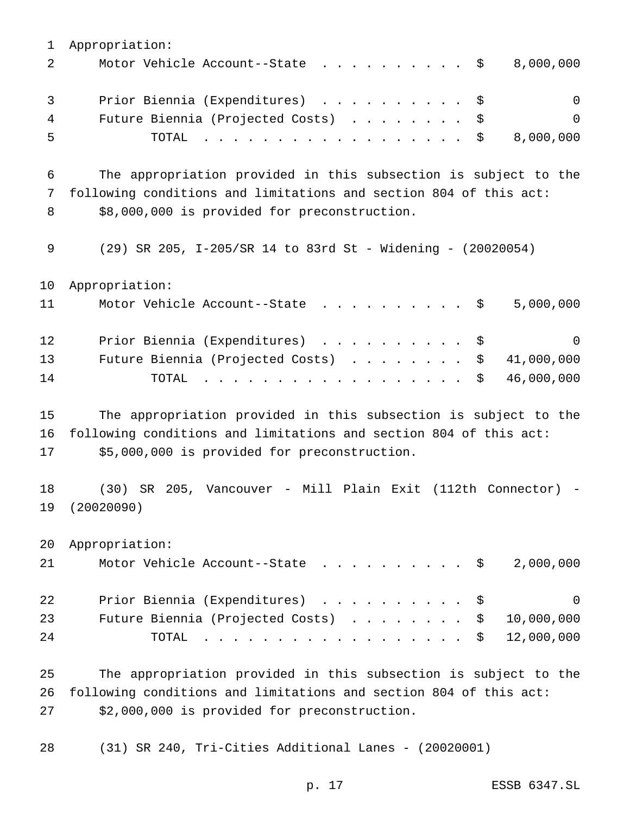Appropriation: 2 Motor Vehicle Account--State . . . . . . . . . \$ 8,000,000 3 Prior Biennia (Expenditures) . . . . . . . . . \$ 0 Future Biennia (Projected Costs) ........ \$ 0 TOTAL .................. \$ 8,000,000 The appropriation provided in this subsection is subject to the following conditions and limitations and section 804 of this act: 8 \$8,000,000 is provided for preconstruction. (29) SR 205, I-205/SR 14 to 83rd St - Widening - (20020054) Appropriation: 11 Motor Vehicle Account--State . . . . . . . . . \$ 5,000,000 12 Prior Biennia (Expenditures) . . . . . . . . . \$ 0 Future Biennia (Projected Costs) ........ \$ 41,000,000 TOTAL .................. \$ 46,000,000 The appropriation provided in this subsection is subject to the following conditions and limitations and section 804 of this act: \$5,000,000 is provided for preconstruction. (30) SR 205, Vancouver - Mill Plain Exit (112th Connector) - (20020090) Appropriation: 21 Motor Vehicle Account--State . . . . . . . . . \$ 2,000,000 22 Prior Biennia (Expenditures) . . . . . . . . . \$ 0 23 Future Biennia (Projected Costs) . . . . . . . \$ 10,000,000 TOTAL .................. \$ 12,000,000 The appropriation provided in this subsection is subject to the following conditions and limitations and section 804 of this act:

\$2,000,000 is provided for preconstruction.

(31) SR 240, Tri-Cities Additional Lanes - (20020001)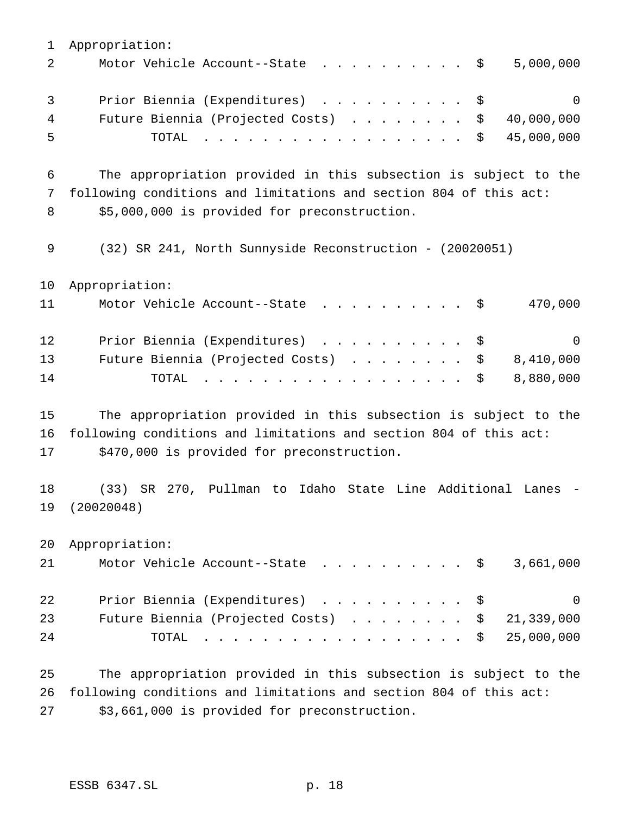| 1  | Appropriation:                                                                                                                                                                                                                                                                       |
|----|--------------------------------------------------------------------------------------------------------------------------------------------------------------------------------------------------------------------------------------------------------------------------------------|
| 2  | 5,000,000<br>Motor Vehicle Account--State<br>\$                                                                                                                                                                                                                                      |
| 3  | Prior Biennia (Expenditures)<br>$\Omega$<br>\$<br>$\mathcal{A}$ . The set of the set of the set of the set of the set of the set of the set of the set of the set of the set of the set of the set of the set of the set of the set of the set of the set of the set of the set of t |
| 4  | 40,000,000<br>Future Biennia (Projected Costs)<br>\$                                                                                                                                                                                                                                 |
| 5  | 45,000,000<br>TOTAL<br>\$<br>.                                                                                                                                                                                                                                                       |
| 6  | The appropriation provided in this subsection is subject to the                                                                                                                                                                                                                      |
| 7  | following conditions and limitations and section 804 of this act:                                                                                                                                                                                                                    |
| 8  | \$5,000,000 is provided for preconstruction.                                                                                                                                                                                                                                         |
| 9  | (32) SR 241, North Sunnyside Reconstruction - (20020051)                                                                                                                                                                                                                             |
| 10 | Appropriation:                                                                                                                                                                                                                                                                       |
| 11 | 470,000<br>Motor Vehicle Account--State<br>— Ş                                                                                                                                                                                                                                       |
| 12 | Prior Biennia (Expenditures)<br>$\Omega$<br>\$                                                                                                                                                                                                                                       |
| 13 | Future Biennia (Projected Costs)<br>8,410,000<br>\$                                                                                                                                                                                                                                  |
| 14 | 8,880,000<br>TOTAL<br>\$<br>$\mathbf{r}$ , $\mathbf{r}$ , $\mathbf{r}$ , $\mathbf{r}$ , $\mathbf{r}$ , $\mathbf{r}$ , $\mathbf{r}$                                                                                                                                                   |
| 15 | The appropriation provided in this subsection is subject to the                                                                                                                                                                                                                      |
| 16 | following conditions and limitations and section 804 of this act:                                                                                                                                                                                                                    |
| 17 | \$470,000 is provided for preconstruction.                                                                                                                                                                                                                                           |
| 18 | SR 270, Pullman to Idaho State Line Additional Lanes<br>(33)                                                                                                                                                                                                                         |
| 19 | (20020048)                                                                                                                                                                                                                                                                           |
| 20 | Appropriation:                                                                                                                                                                                                                                                                       |
| 21 | 3,661,000<br>Motor Vehicle Account--State<br>\$                                                                                                                                                                                                                                      |
| 22 | Prior Biennia (Expenditures)<br>0<br>S<br>$\cdot$ $\cdot$ $\cdot$ $\cdot$ $\cdot$ $\cdot$ $\cdot$ $\cdot$                                                                                                                                                                            |
| 23 | Future Biennia (Projected Costs)<br>21,339,000<br>S<br>$\cdot$ $\cdot$ $\cdot$ $\cdot$ $\cdot$ $\cdot$                                                                                                                                                                               |
| 24 | 25,000,000<br>TOTAL<br>\$                                                                                                                                                                                                                                                            |
| 25 | The appropriation provided in this subsection is subject to the                                                                                                                                                                                                                      |
|    |                                                                                                                                                                                                                                                                                      |

 following conditions and limitations and section 804 of this act: \$3,661,000 is provided for preconstruction.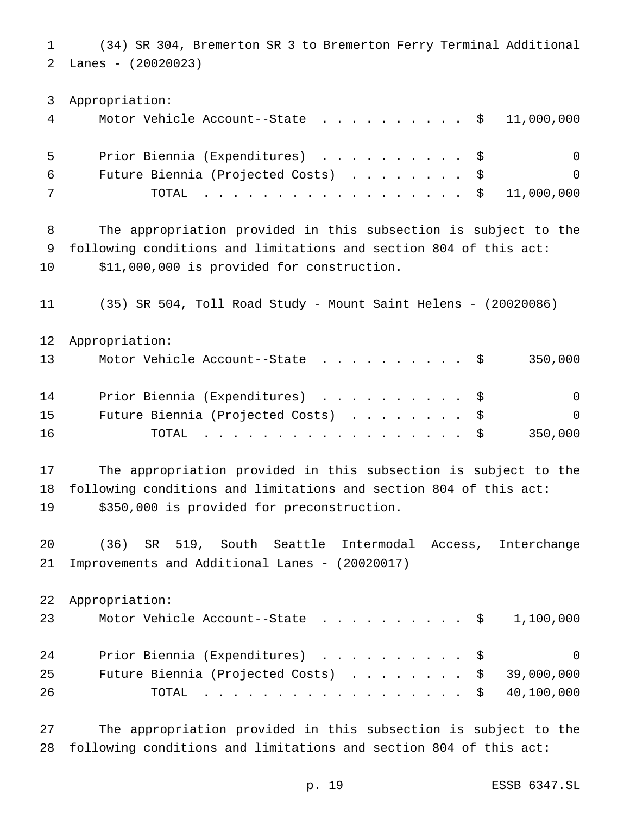(34) SR 304, Bremerton SR 3 to Bremerton Ferry Terminal Additional Lanes - (20020023)

 Appropriation: Motor Vehicle Account--State .......... \$ 11,000,000 Prior Biennia (Expenditures) .......... \$ 0 Future Biennia (Projected Costs) ........ \$ 0 TOTAL .................. \$ 11,000,000 The appropriation provided in this subsection is subject to the following conditions and limitations and section 804 of this act: \$11,000,000 is provided for construction. (35) SR 504, Toll Road Study - Mount Saint Helens - (20020086) Appropriation: 13 Motor Vehicle Account--State . . . . . . . . . \$ 350,000 14 Prior Biennia (Expenditures) . . . . . . . . . \$ 0 Future Biennia (Projected Costs) ........ \$ 0 TOTAL .................. \$ 350,000 The appropriation provided in this subsection is subject to the following conditions and limitations and section 804 of this act: \$350,000 is provided for preconstruction. (36) SR 519, South Seattle Intermodal Access, Interchange Improvements and Additional Lanes - (20020017) Appropriation: 23 Motor Vehicle Account--State . . . . . . . . . \$ 1,100,000 24 Prior Biennia (Expenditures) . . . . . . . . . \$ 0 Future Biennia (Projected Costs) ........ \$ 39,000,000 TOTAL .................. \$ 40,100,000 The appropriation provided in this subsection is subject to the

following conditions and limitations and section 804 of this act: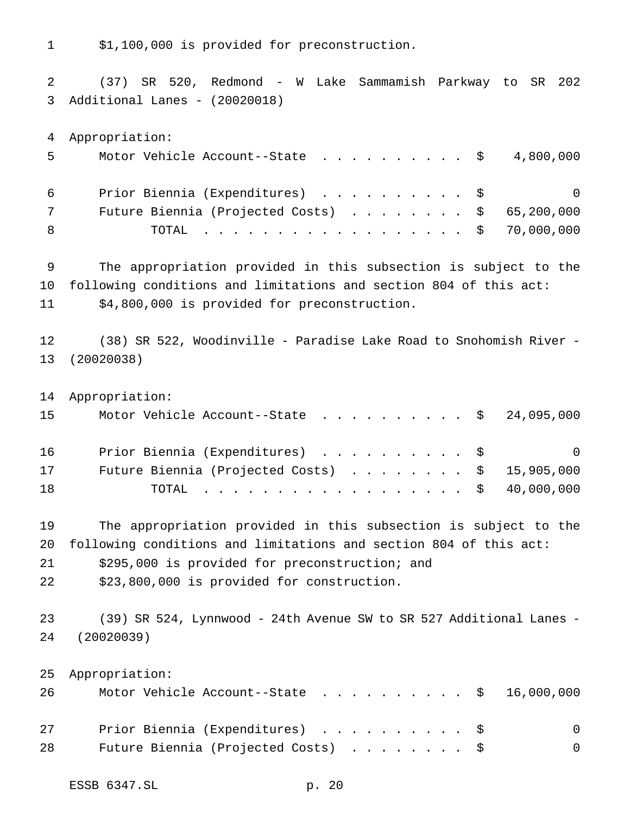\$1,100,000 is provided for preconstruction.

 (37) SR 520, Redmond - W Lake Sammamish Parkway to SR 202 Additional Lanes - (20020018) Appropriation: Motor Vehicle Account--State .......... \$ 4,800,000 Prior Biennia (Expenditures) .......... \$ 0 Future Biennia (Projected Costs) ........ \$ 65,200,000 8 TOTAL . . . . . . . . . . . . . . . . \$ 70,000,000 The appropriation provided in this subsection is subject to the following conditions and limitations and section 804 of this act: \$4,800,000 is provided for preconstruction. (38) SR 522, Woodinville - Paradise Lake Road to Snohomish River - (20020038) Appropriation: 15 Motor Vehicle Account--State . . . . . . . . . \$ 24,095,000 Prior Biennia (Expenditures) .......... \$ 0 Future Biennia (Projected Costs) ........ \$ 15,905,000 18 TOTAL . . . . . . . . . . . . . . . . \$ 40,000,000 The appropriation provided in this subsection is subject to the following conditions and limitations and section 804 of this act: \$295,000 is provided for preconstruction; and \$23,800,000 is provided for construction. (39) SR 524, Lynnwood - 24th Avenue SW to SR 527 Additional Lanes - (20020039) Appropriation: 26 Motor Vehicle Account--State . . . . . . . . . \$ 16,000,000 27 Prior Biennia (Expenditures) . . . . . . . . . \$ 0 Future Biennia (Projected Costs) ........ \$ 0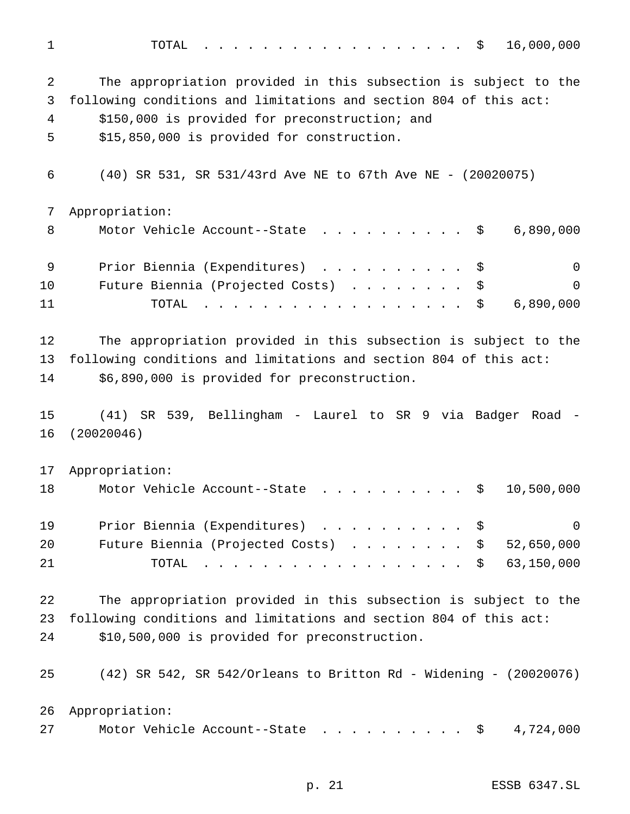| $\mathbf 1$ | 16,000,000<br>TOTAL<br>\$                                                                                                                                                                                                                                     |
|-------------|---------------------------------------------------------------------------------------------------------------------------------------------------------------------------------------------------------------------------------------------------------------|
| 2           | The appropriation provided in this subsection is subject to the                                                                                                                                                                                               |
| 3           | following conditions and limitations and section 804 of this act:                                                                                                                                                                                             |
| 4           | \$150,000 is provided for preconstruction; and                                                                                                                                                                                                                |
| 5           | \$15,850,000 is provided for construction.                                                                                                                                                                                                                    |
| 6           | (40) SR 531, SR 531/43rd Ave NE to 67th Ave NE - (20020075)                                                                                                                                                                                                   |
| 7           | Appropriation:                                                                                                                                                                                                                                                |
| 8           | Motor Vehicle Account--State<br>6,890,000<br>\$                                                                                                                                                                                                               |
| 9           | Prior Biennia (Expenditures)<br>$\Omega$<br>\$                                                                                                                                                                                                                |
| 10          | Future Biennia (Projected Costs)<br>$\mathsf{O}$<br>\$                                                                                                                                                                                                        |
| 11          | \$<br>6,890,000<br>TOTAL<br>$\frac{1}{2}$                                                                                                                                                                                                                     |
| 12          | The appropriation provided in this subsection is subject to the                                                                                                                                                                                               |
| 13          | following conditions and limitations and section 804 of this act:                                                                                                                                                                                             |
| 14          | \$6,890,000 is provided for preconstruction.                                                                                                                                                                                                                  |
| 15          | (41) SR 539, Bellingham - Laurel to SR 9 via Badger Road -                                                                                                                                                                                                    |
| 16          | (20020046)                                                                                                                                                                                                                                                    |
| 17          | Appropriation:                                                                                                                                                                                                                                                |
| 18          | 10,500,000<br>Motor Vehicle Account--State<br>\$                                                                                                                                                                                                              |
| 19          | Prior Biennia (Expenditures)<br>$\mathsf{O}$<br>-\$                                                                                                                                                                                                           |
| 20          | Future Biennia (Projected Costs)<br>52,650,000<br>\$                                                                                                                                                                                                          |
| 21          | 63,150,000<br>TOTAL<br>\$<br>$\mathbf{r}$ , and the set of the set of the set of the set of the set of the set of the set of the set of the set of the set of the set of the set of the set of the set of the set of the set of the set of the set of the set |
| 22          | The appropriation provided in this subsection is subject to the                                                                                                                                                                                               |
| 23          | following conditions and limitations and section 804 of this act:                                                                                                                                                                                             |
| 24          | \$10,500,000 is provided for preconstruction.                                                                                                                                                                                                                 |
| 25          | (42) SR 542, SR 542/Orleans to Britton Rd - Widening - (20020076)                                                                                                                                                                                             |
| 26          | Appropriation:                                                                                                                                                                                                                                                |
| 27          | 4,724,000<br>Motor Vehicle Account--State<br>$\ddot{\mathcal{S}}$                                                                                                                                                                                             |
|             |                                                                                                                                                                                                                                                               |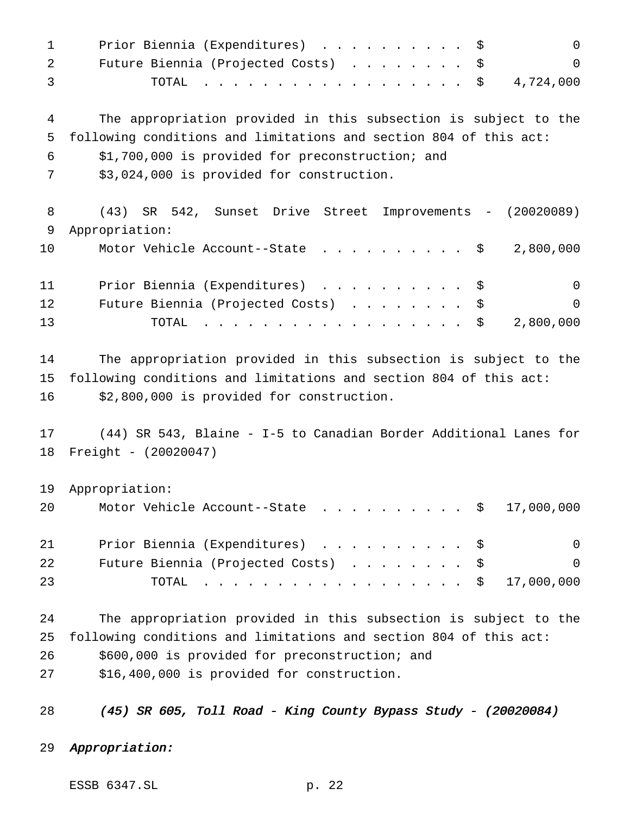1 Prior Biennia (Expenditures) . . . . . . . . . \$ 0 2 Future Biennia (Projected Costs) . . . . . . . \$ 0 TOTAL .................. \$ 4,724,000 The appropriation provided in this subsection is subject to the following conditions and limitations and section 804 of this act: \$1,700,000 is provided for preconstruction; and \$3,024,000 is provided for construction. (43) SR 542, Sunset Drive Street Improvements - (20020089) Appropriation: 10 Motor Vehicle Account--State . . . . . . . . . \$ 2,800,000 Prior Biennia (Expenditures) .......... \$ 0 12 Future Biennia (Projected Costs) . . . . . . . \$ 0 TOTAL .................. \$ 2,800,000 The appropriation provided in this subsection is subject to the following conditions and limitations and section 804 of this act: \$2,800,000 is provided for construction. (44) SR 543, Blaine - I-5 to Canadian Border Additional Lanes for Freight - (20020047) Appropriation: 20 Motor Vehicle Account--State . . . . . . . . . \$ 17,000,000 21 Prior Biennia (Expenditures) . . . . . . . . . \$ 0 Future Biennia (Projected Costs) ........ \$ 0 23 TOTAL . . . . . . . . . . . . . . . . \$ 17,000,000 The appropriation provided in this subsection is subject to the following conditions and limitations and section 804 of this act: \$600,000 is provided for preconstruction; and \$16,400,000 is provided for construction. (45) SR 605, Toll Road - King County Bypass Study - (20020084)

Appropriation:

ESSB 6347.SL p. 22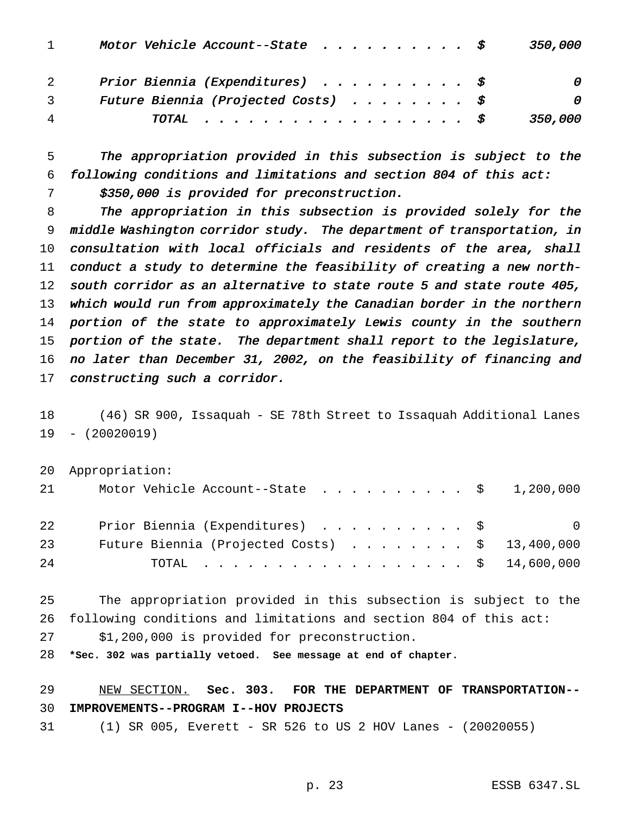|                | Motor Vehicle Account--State $\ldots \ldots \ldots$        | 350,000  |
|----------------|------------------------------------------------------------|----------|
|                | Prior Biennia (Expenditures) $\ldots \ldots \ldots \ldots$ | $\theta$ |
|                | Future Biennia (Projected Costs) $\ddot{s}$                | 0        |
| $\overline{4}$ | TOTAL \$                                                   | 350,000  |

 The appropriation provided in this subsection is subject to the following conditions and limitations and section <sup>804</sup> of this act:

\$350,000 is provided for preconstruction.

 The appropriation in this subsection is provided solely for the middle Washington corridor study. The department of transportation, in consultation with local officials and residents of the area, shall conduct <sup>a</sup> study to determine the feasibility of creating <sup>a</sup> new north-12 south corridor as an alternative to state route 5 and state route 405, which would run from approximately the Canadian border in the northern 14 portion of the state to approximately Lewis county in the southern portion of the state. The department shall report to the legislature, no later than December 31, 2002, on the feasibility of financing and constructing such <sup>a</sup> corridor.

 (46) SR 900, Issaquah - SE 78th Street to Issaquah Additional Lanes - (20020019)

 Appropriation: 21 Motor Vehicle Account--State . . . . . . . . . \$ 1,200,000 22 Prior Biennia (Expenditures) . . . . . . . . . \$ 0 Future Biennia (Projected Costs) ........ \$ 13,400,000 TOTAL .................. \$ 14,600,000

 The appropriation provided in this subsection is subject to the following conditions and limitations and section 804 of this act:

\$1,200,000 is provided for preconstruction.

**\*Sec. 302 was partially vetoed. See message at end of chapter.**

 NEW SECTION. **Sec. 303. FOR THE DEPARTMENT OF TRANSPORTATION-- IMPROVEMENTS--PROGRAM I--HOV PROJECTS**

(1) SR 005, Everett - SR 526 to US 2 HOV Lanes - (20020055)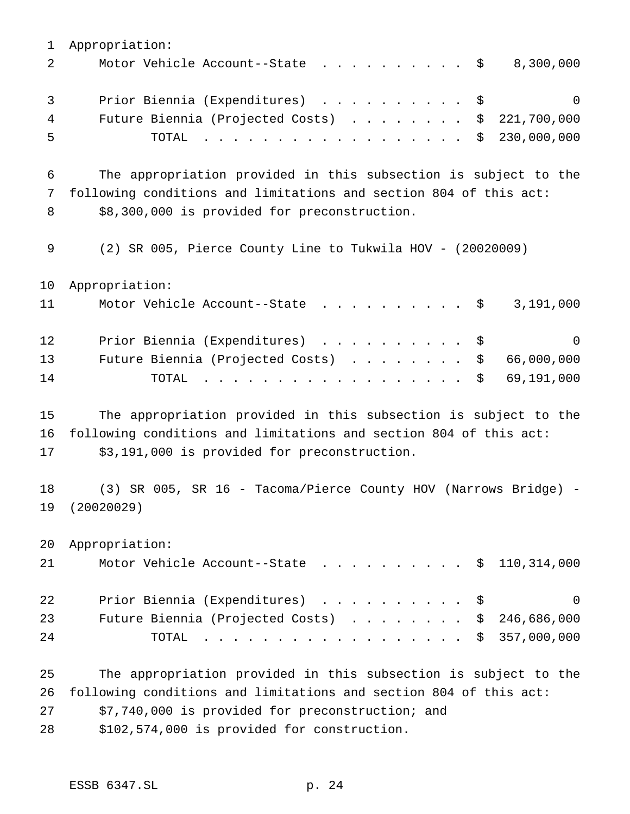Appropriation: 2 Motor Vehicle Account--State . . . . . . . . . \$ 8,300,000 3 Prior Biennia (Expenditures) . . . . . . . . . \$ 0 Future Biennia (Projected Costs) ........ \$ 221,700,000 TOTAL .................. \$ 230,000,000 The appropriation provided in this subsection is subject to the following conditions and limitations and section 804 of this act: 8 \$8,300,000 is provided for preconstruction. (2) SR 005, Pierce County Line to Tukwila HOV - (20020009) Appropriation: 11 Motor Vehicle Account--State . . . . . . . . . \$ 3,191,000 12 Prior Biennia (Expenditures) . . . . . . . . . \$ 0 Future Biennia (Projected Costs) ........ \$ 66,000,000 TOTAL .................. \$ 69,191,000 The appropriation provided in this subsection is subject to the following conditions and limitations and section 804 of this act: \$3,191,000 is provided for preconstruction. (3) SR 005, SR 16 - Tacoma/Pierce County HOV (Narrows Bridge) - (20020029) Appropriation: 21 Motor Vehicle Account--State . . . . . . . . . \$ 110,314,000 22 Prior Biennia (Expenditures) . . . . . . . . . \$ 0 Future Biennia (Projected Costs) ........ \$ 246,686,000 TOTAL .................. \$ 357,000,000 The appropriation provided in this subsection is subject to the following conditions and limitations and section 804 of this act: \$7,740,000 is provided for preconstruction; and

\$102,574,000 is provided for construction.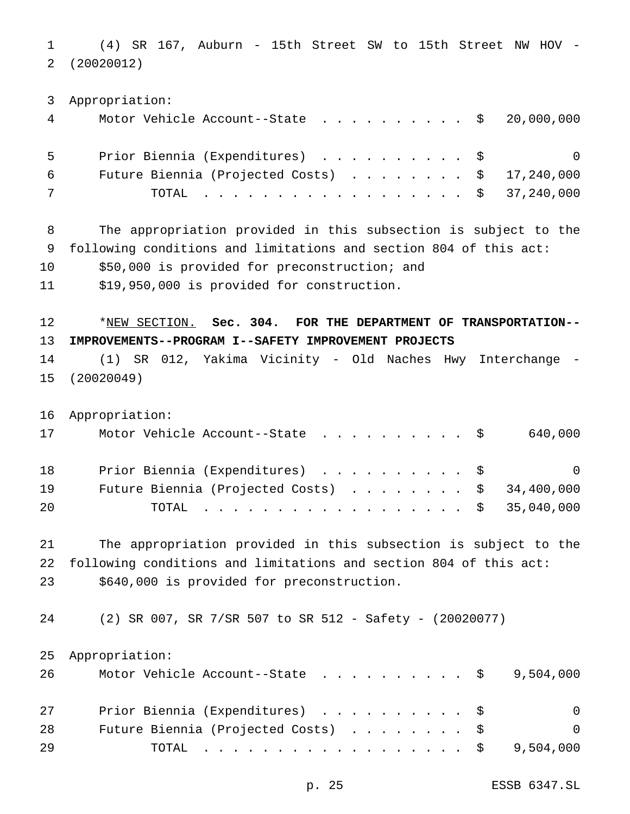(4) SR 167, Auburn - 15th Street SW to 15th Street NW HOV - (20020012)

 Appropriation: Motor Vehicle Account--State .......... \$ 20,000,000 Prior Biennia (Expenditures) .......... \$ 0 Future Biennia (Projected Costs) ........ \$ 17,240,000 TOTAL .................. \$ 37,240,000

 The appropriation provided in this subsection is subject to the following conditions and limitations and section 804 of this act:

\$50,000 is provided for preconstruction; and

\$19,950,000 is provided for construction.

 \*NEW SECTION. **Sec. 304. FOR THE DEPARTMENT OF TRANSPORTATION-- IMPROVEMENTS--PROGRAM I--SAFETY IMPROVEMENT PROJECTS**

 (1) SR 012, Yakima Vicinity - Old Naches Hwy Interchange - (20020049)

Appropriation:

| 17 | Motor Vehicle Account--State $\ldots$ \$640,000         |                |
|----|---------------------------------------------------------|----------------|
| 18 | Prior Biennia (Expenditures) \$                         | $\overline{0}$ |
| 19 | Future Biennia (Projected Costs) $\ldots$ \$ 34,400,000 |                |
| 20 | TOTAL \$ 35,040,000                                     |                |

 The appropriation provided in this subsection is subject to the following conditions and limitations and section 804 of this act: \$640,000 is provided for preconstruction.

(2) SR 007, SR 7/SR 507 to SR 512 - Safety - (20020077)

Appropriation:

| 26 | Motor Vehicle Account--State $\ldots$ \$9,504,000 |          |
|----|---------------------------------------------------|----------|
| 27 | Prior Biennia (Expenditures) \$                   | $\Omega$ |
| 28 | Future Biennia (Projected Costs) \$               | $\Omega$ |
| 29 | TOTAL \$ 9,504,000                                |          |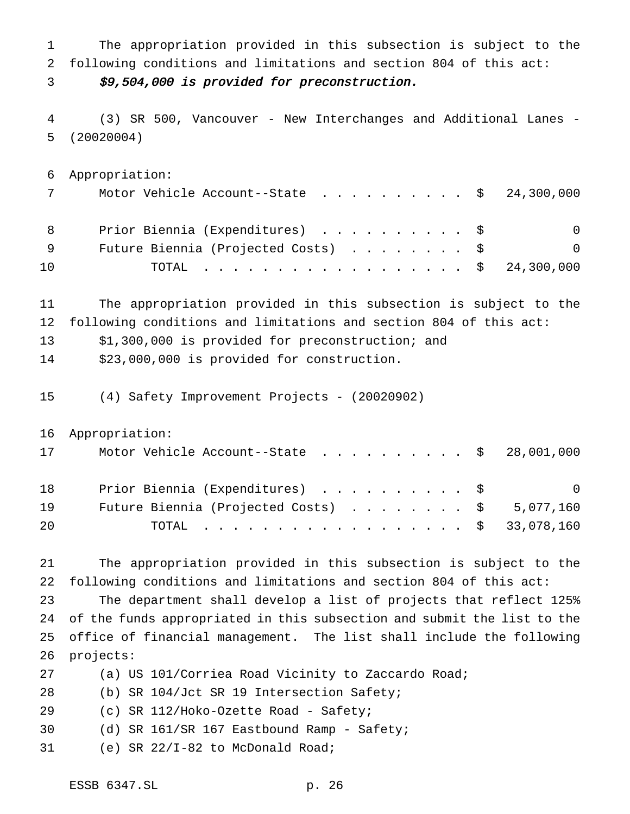The appropriation provided in this subsection is subject to the following conditions and limitations and section 804 of this act:

\$9,504,000 is provided for preconstruction.

 (3) SR 500, Vancouver - New Interchanges and Additional Lanes - (20020004)

 Appropriation: 7 Motor Vehicle Account--State . . . . . . . . . \$ 24,300,000 8 Prior Biennia (Expenditures) . . . . . . . . . \$ 0 9 Future Biennia (Projected Costs) . . . . . . . \$ 0 TOTAL .................. \$ 24,300,000

 The appropriation provided in this subsection is subject to the following conditions and limitations and section 804 of this act:

\$1,300,000 is provided for preconstruction; and

\$23,000,000 is provided for construction.

(4) Safety Improvement Projects - (20020902)

Appropriation:

| 17 | Motor Vehicle Account--State $\ldots$ \$ 28,001,000    |  |
|----|--------------------------------------------------------|--|
| 18 | Prior Biennia (Expenditures) \$<br>$\overline{0}$      |  |
| 19 | Future Biennia (Projected Costs) $\ldots$ \$ 5,077,160 |  |
| 20 | TOTAL \$ 33,078,160                                    |  |

 The appropriation provided in this subsection is subject to the following conditions and limitations and section 804 of this act:

 The department shall develop a list of projects that reflect 125% of the funds appropriated in this subsection and submit the list to the office of financial management. The list shall include the following projects:

(a) US 101/Corriea Road Vicinity to Zaccardo Road;

(b) SR 104/Jct SR 19 Intersection Safety;

(c) SR 112/Hoko-Ozette Road - Safety;

(d) SR 161/SR 167 Eastbound Ramp - Safety;

(e) SR 22/I-82 to McDonald Road;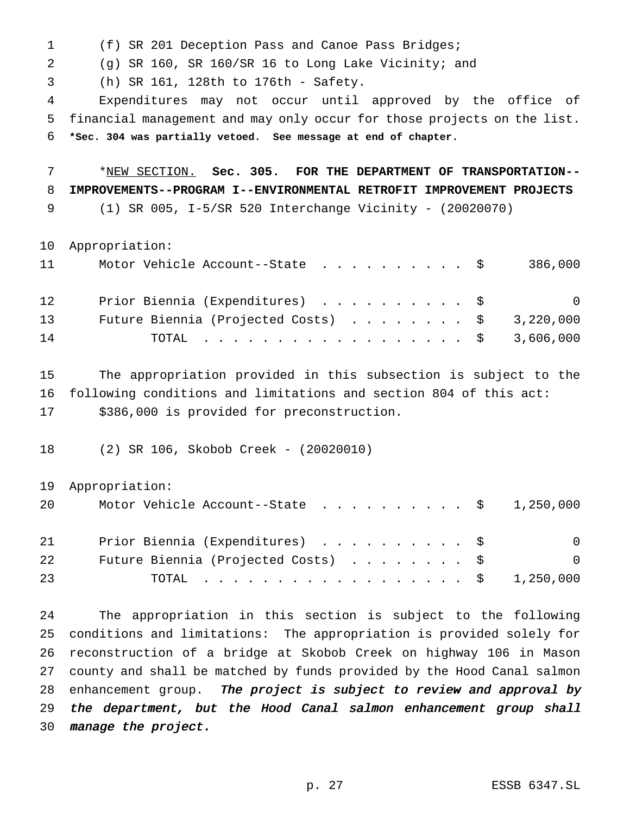(f) SR 201 Deception Pass and Canoe Pass Bridges;

(g) SR 160, SR 160/SR 16 to Long Lake Vicinity; and

(h) SR 161, 128th to 176th - Safety.

 Expenditures may not occur until approved by the office of financial management and may only occur for those projects on the list. **\*Sec. 304 was partially vetoed. See message at end of chapter.**

 \*NEW SECTION. **Sec. 305. FOR THE DEPARTMENT OF TRANSPORTATION-- IMPROVEMENTS--PROGRAM I--ENVIRONMENTAL RETROFIT IMPROVEMENT PROJECTS** (1) SR 005, I-5/SR 520 Interchange Vicinity - (20020070)

Appropriation:

| 11 | Motor Vehicle Account--State \$                        | 386,000        |
|----|--------------------------------------------------------|----------------|
| 12 | Prior Biennia (Expenditures) \$                        | $\overline{0}$ |
| 13 | Future Biennia (Projected Costs) $\ldots$ \$ 3,220,000 |                |
| 14 | TOTAL \$ 3,606,000                                     |                |

 The appropriation provided in this subsection is subject to the following conditions and limitations and section 804 of this act: \$386,000 is provided for preconstruction.

(2) SR 106, Skobob Creek - (20020010)

Appropriation:

| 20 | Motor Vehicle Account--State $\ldots$ \$ 1,250,000 |          |
|----|----------------------------------------------------|----------|
| 21 | Prior Biennia (Expenditures) \$                    | $\Omega$ |
| 22 | Future Biennia (Projected Costs) \$                | - 0      |
| 23 | TOTAL \$ 1,250,000                                 |          |

 The appropriation in this section is subject to the following conditions and limitations: The appropriation is provided solely for reconstruction of a bridge at Skobob Creek on highway 106 in Mason county and shall be matched by funds provided by the Hood Canal salmon 28 enhancement group. The project is subject to review and approval by 29 the department, but the Hood Canal salmon enhancement group shall manage the project.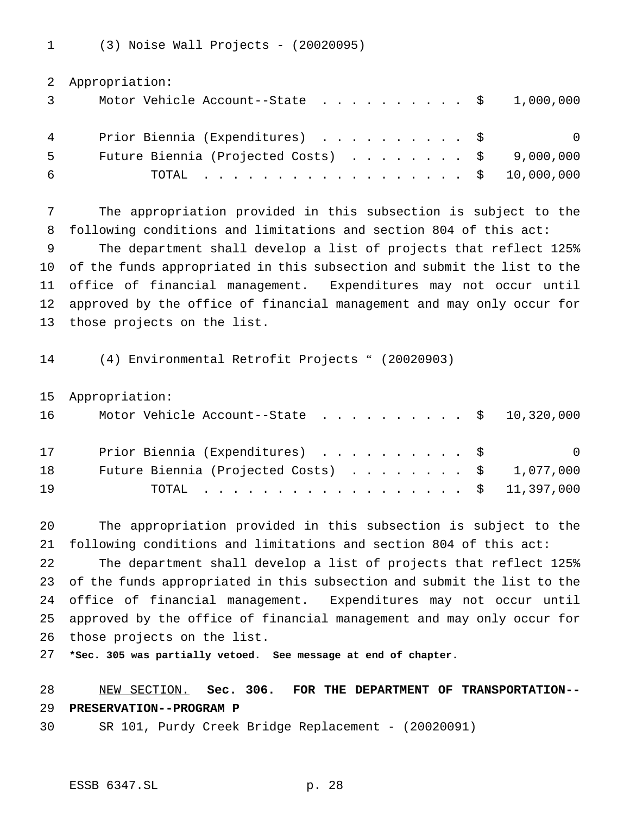(3) Noise Wall Projects - (20020095)

|    | 2 Appropriation:                                   |
|----|----------------------------------------------------|
|    | Motor Vehicle Account--State $\ldots$ \$ 1,000,000 |
| 4  | Prior Biennia (Expenditures) \$<br>-0              |
| -5 | Future Biennia (Projected Costs) \$9,000,000       |
| -6 | TOTAL \$ 10,000,000                                |

 The appropriation provided in this subsection is subject to the following conditions and limitations and section 804 of this act:

 The department shall develop a list of projects that reflect 125% of the funds appropriated in this subsection and submit the list to the office of financial management. Expenditures may not occur until approved by the office of financial management and may only occur for those projects on the list.

(4) Environmental Retrofit Projects " (20020903)

Appropriation:

| 16 | Motor Vehicle Account--State $\ldots$ \$ 10,320,000    |                          |
|----|--------------------------------------------------------|--------------------------|
| 17 | Prior Biennia (Expenditures) \$                        | $\overline{\phantom{0}}$ |
| 18 | Future Biennia (Projected Costs) $\ldots$ \$ 1,077,000 |                          |
| 19 | TOTAL \$ 11,397,000                                    |                          |

 The appropriation provided in this subsection is subject to the following conditions and limitations and section 804 of this act:

 The department shall develop a list of projects that reflect 125% of the funds appropriated in this subsection and submit the list to the office of financial management. Expenditures may not occur until approved by the office of financial management and may only occur for those projects on the list.

**\*Sec. 305 was partially vetoed. See message at end of chapter.**

 NEW SECTION. **Sec. 306. FOR THE DEPARTMENT OF TRANSPORTATION-- PRESERVATION--PROGRAM P**

SR 101, Purdy Creek Bridge Replacement - (20020091)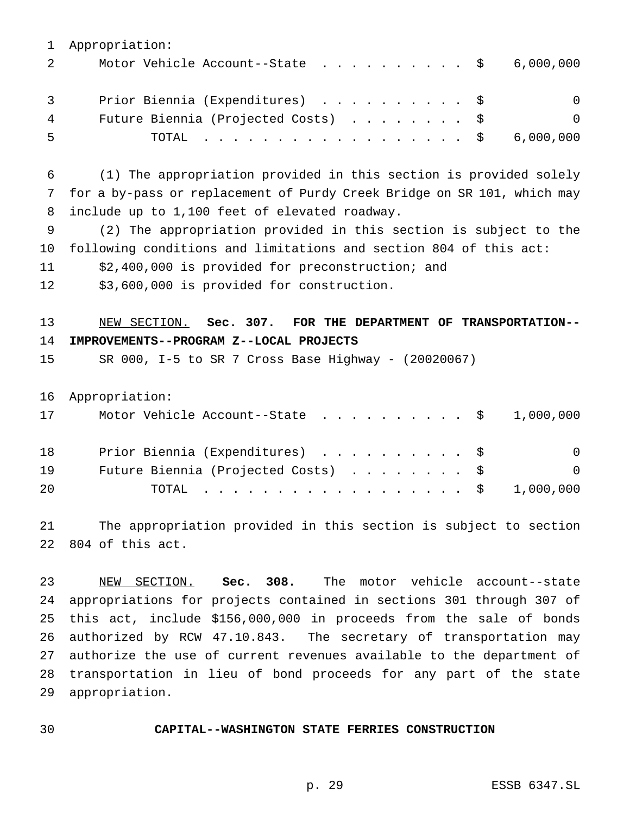Appropriation: 2 Motor Vehicle Account--State . . . . . . . . . \$ 6,000,000 3 Prior Biennia (Expenditures) . . . . . . . . . \$ 0 4 Future Biennia (Projected Costs) . . . . . . . \$ 0 TOTAL .................. \$ 6,000,000 (1) The appropriation provided in this section is provided solely for a by-pass or replacement of Purdy Creek Bridge on SR 101, which may include up to 1,100 feet of elevated roadway. (2) The appropriation provided in this section is subject to the following conditions and limitations and section 804 of this act: \$2,400,000 is provided for preconstruction; and \$3,600,000 is provided for construction. NEW SECTION. **Sec. 307. FOR THE DEPARTMENT OF TRANSPORTATION-- IMPROVEMENTS--PROGRAM Z--LOCAL PROJECTS** SR 000, I-5 to SR 7 Cross Base Highway - (20020067) Appropriation: 17 Motor Vehicle Account--State . . . . . . . . . \$ 1,000,000 18 Prior Biennia (Expenditures) . . . . . . . . . \$ 0 19 Future Biennia (Projected Costs) . . . . . . . \$ 0 TOTAL .................. \$ 1,000,000 The appropriation provided in this section is subject to section 804 of this act. NEW SECTION. **Sec. 308.** The motor vehicle account--state appropriations for projects contained in sections 301 through 307 of this act, include \$156,000,000 in proceeds from the sale of bonds authorized by RCW 47.10.843. The secretary of transportation may authorize the use of current revenues available to the department of

 transportation in lieu of bond proceeds for any part of the state appropriation.

#### **CAPITAL--WASHINGTON STATE FERRIES CONSTRUCTION**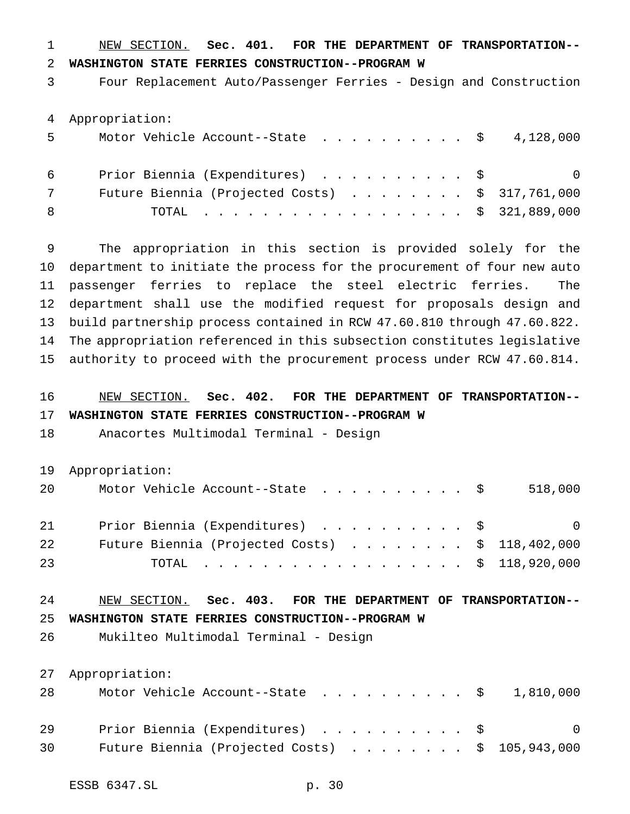NEW SECTION. **Sec. 401. FOR THE DEPARTMENT OF TRANSPORTATION-- WASHINGTON STATE FERRIES CONSTRUCTION--PROGRAM W**

Four Replacement Auto/Passenger Ferries - Design and Construction

Appropriation:

| 5  | Motor Vehicle Account--State $\ldots$ \$ 4,128,000       |                |
|----|----------------------------------------------------------|----------------|
| 6  | Prior Biennia (Expenditures) \$                          | $\overline{0}$ |
|    | Future Biennia (Projected Costs) $\ldots$ \$ 317,761,000 |                |
| -8 | TOTAL \$ 321,889,000                                     |                |

 The appropriation in this section is provided solely for the department to initiate the process for the procurement of four new auto passenger ferries to replace the steel electric ferries. The department shall use the modified request for proposals design and build partnership process contained in RCW 47.60.810 through 47.60.822. The appropriation referenced in this subsection constitutes legislative authority to proceed with the procurement process under RCW 47.60.814.

# NEW SECTION. **Sec. 402. FOR THE DEPARTMENT OF TRANSPORTATION-- WASHINGTON STATE FERRIES CONSTRUCTION--PROGRAM W**

Anacortes Multimodal Terminal - Design

Appropriation:

| 20 | Motor Vehicle Account--State $\ldots$ \$518,000          |  |
|----|----------------------------------------------------------|--|
| 21 | Prior Biennia (Expenditures) \$                          |  |
| 22 | Future Biennia (Projected Costs) $\ldots$ \$ 118,402,000 |  |
| 23 | TOTAL \$ 118,920,000                                     |  |

# NEW SECTION. **Sec. 403. FOR THE DEPARTMENT OF TRANSPORTATION--**

**WASHINGTON STATE FERRIES CONSTRUCTION--PROGRAM W**

Mukilteo Multimodal Terminal - Design

Appropriation:

| 28 |  |                                 |  |  |  |  |  | Motor Vehicle Account--State $\ldots$ \$ 1,810,000       |
|----|--|---------------------------------|--|--|--|--|--|----------------------------------------------------------|
| 29 |  | Prior Biennia (Expenditures) \$ |  |  |  |  |  | $\overline{0}$                                           |
| 30 |  |                                 |  |  |  |  |  | Future Biennia (Projected Costs) $\ldots$ \$ 105,943,000 |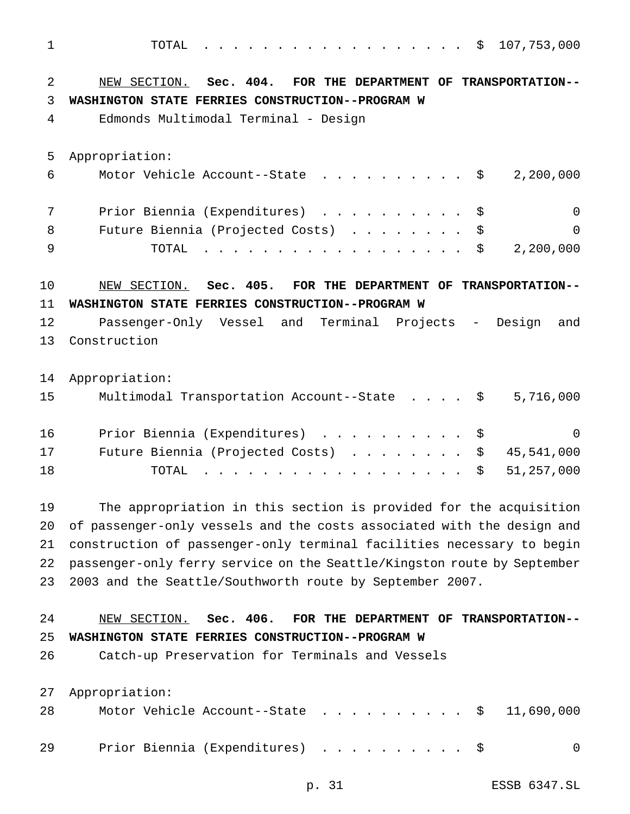TOTAL .................. \$ 107,753,000 NEW SECTION. **Sec. 404. FOR THE DEPARTMENT OF TRANSPORTATION-- WASHINGTON STATE FERRIES CONSTRUCTION--PROGRAM W** Edmonds Multimodal Terminal - Design Appropriation: Motor Vehicle Account--State .......... \$ 2,200,000 Prior Biennia (Expenditures) .......... \$ 0 8 Future Biennia (Projected Costs) . . . . . . . \$ 0 TOTAL .................. \$ 2,200,000 NEW SECTION. **Sec. 405. FOR THE DEPARTMENT OF TRANSPORTATION-- WASHINGTON STATE FERRIES CONSTRUCTION--PROGRAM W** Passenger-Only Vessel and Terminal Projects - Design and Construction Appropriation: Multimodal Transportation Account--State .... \$ 5,716,000 Prior Biennia (Expenditures) .......... \$ 0 Future Biennia (Projected Costs) ........ \$ 45,541,000 TOTAL .................. \$ 51,257,000 The appropriation in this section is provided for the acquisition of passenger-only vessels and the costs associated with the design and construction of passenger-only terminal facilities necessary to begin passenger-only ferry service on the Seattle/Kingston route by September 2003 and the Seattle/Southworth route by September 2007. NEW SECTION. **Sec. 406. FOR THE DEPARTMENT OF TRANSPORTATION-- WASHINGTON STATE FERRIES CONSTRUCTION--PROGRAM W** Catch-up Preservation for Terminals and Vessels Appropriation: 28 Motor Vehicle Account--State . . . . . . . . . \$ 11,690,000

29 Prior Biennia (Expenditures) . . . . . . . . . \$ 0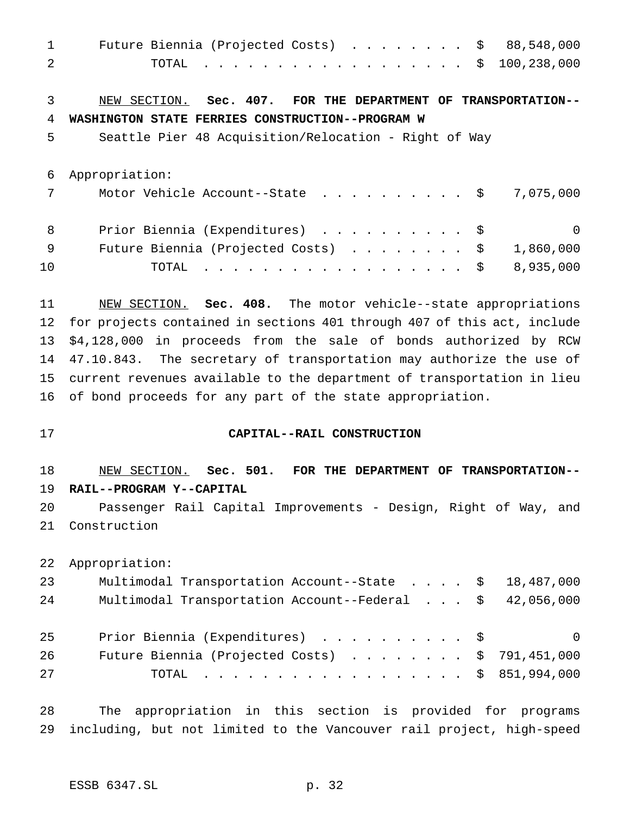| Future Biennia (Projected Costs) \$<br>88,548,000             |
|---------------------------------------------------------------|
| TOTAL \$<br>100,238,000                                       |
|                                                               |
| NEW SECTION. Sec. 407. FOR THE DEPARTMENT OF TRANSPORTATION-- |
| WASHINGTON STATE FERRIES CONSTRUCTION--PROGRAM W              |
| Seattle Pier 48 Acquisition/Relocation - Right of Way         |
|                                                               |
| Appropriation:                                                |
| Motor Vehicle Account--State \$<br>7,075,000                  |
|                                                               |
| Prior Biennia (Expenditures) \$<br>$\Omega$                   |
| Future Biennia (Projected Costs) \$<br>1,860,000              |
| .<br>8,935,000<br>TOTAL                                       |
|                                                               |

 NEW SECTION. **Sec. 408.** The motor vehicle--state appropriations for projects contained in sections 401 through 407 of this act, include \$4,128,000 in proceeds from the sale of bonds authorized by RCW 47.10.843. The secretary of transportation may authorize the use of current revenues available to the department of transportation in lieu of bond proceeds for any part of the state appropriation.

#### **CAPITAL--RAIL CONSTRUCTION**

 NEW SECTION. **Sec. 501. FOR THE DEPARTMENT OF TRANSPORTATION-- RAIL--PROGRAM Y--CAPITAL** Passenger Rail Capital Improvements - Design, Right of Way, and

Construction

Appropriation:

| 23 | Multimodal Transportation Account--State \$ 18,487,000   |  |  |                |
|----|----------------------------------------------------------|--|--|----------------|
| 24 | Multimodal Transportation Account--Federal \$ 42,056,000 |  |  |                |
| 25 | Prior Biennia (Expenditures) \$                          |  |  | $\overline{0}$ |
| 26 | Future Biennia (Projected Costs) $\ldots$ \$ 791,451,000 |  |  |                |
| 27 | TOTAL \$ 851,994,000                                     |  |  |                |

 The appropriation in this section is provided for programs including, but not limited to the Vancouver rail project, high-speed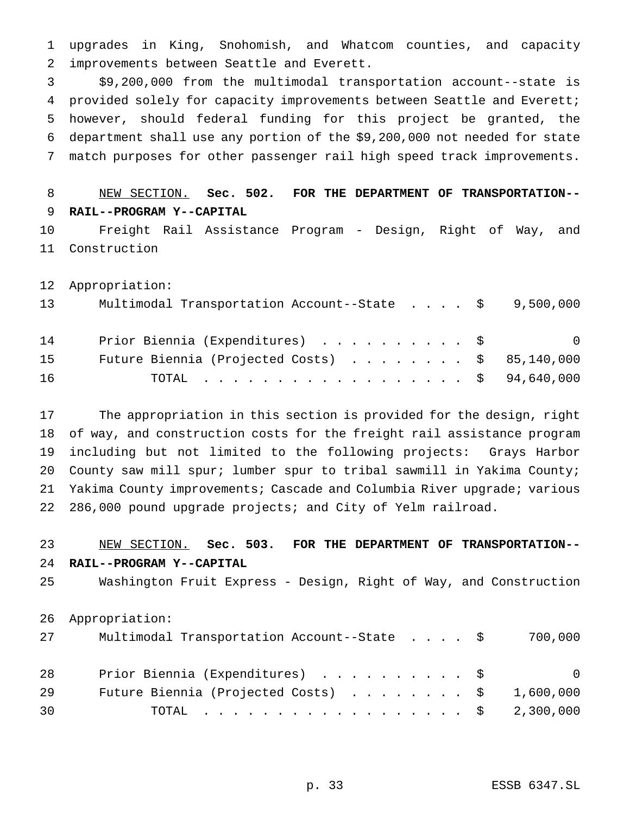upgrades in King, Snohomish, and Whatcom counties, and capacity improvements between Seattle and Everett.

 \$9,200,000 from the multimodal transportation account--state is provided solely for capacity improvements between Seattle and Everett; however, should federal funding for this project be granted, the department shall use any portion of the \$9,200,000 not needed for state match purposes for other passenger rail high speed track improvements.

 NEW SECTION. **Sec. 502. FOR THE DEPARTMENT OF TRANSPORTATION-- RAIL--PROGRAM Y--CAPITAL**

 Freight Rail Assistance Program - Design, Right of Way, and Construction

Appropriation:

| 13 | Multimodal Transportation Account--State $\cdot \cdot \cdot \cdot$ \$9,500,000 |                |
|----|--------------------------------------------------------------------------------|----------------|
| 14 | Prior Biennia (Expenditures) \$                                                | $\overline{0}$ |
| 15 | Future Biennia (Projected Costs) \$ 85,140,000                                 |                |
| 16 | TOTAL \$ 94,640,000                                                            |                |

 The appropriation in this section is provided for the design, right of way, and construction costs for the freight rail assistance program including but not limited to the following projects: Grays Harbor County saw mill spur; lumber spur to tribal sawmill in Yakima County; Yakima County improvements; Cascade and Columbia River upgrade; various 286,000 pound upgrade projects; and City of Yelm railroad.

# NEW SECTION. **Sec. 503. FOR THE DEPARTMENT OF TRANSPORTATION-- RAIL--PROGRAM Y--CAPITAL**

Washington Fruit Express - Design, Right of Way, and Construction

Appropriation:

| 27 | Multimodal Transportation Account--State \$            | 700,000 |
|----|--------------------------------------------------------|---------|
| 28 | Prior Biennia (Expenditures) \$                        | - 0     |
| 29 | Future Biennia (Projected Costs) $\ldots$ \$ 1,600,000 |         |
| 30 | TOTAL \$ 2,300,000                                     |         |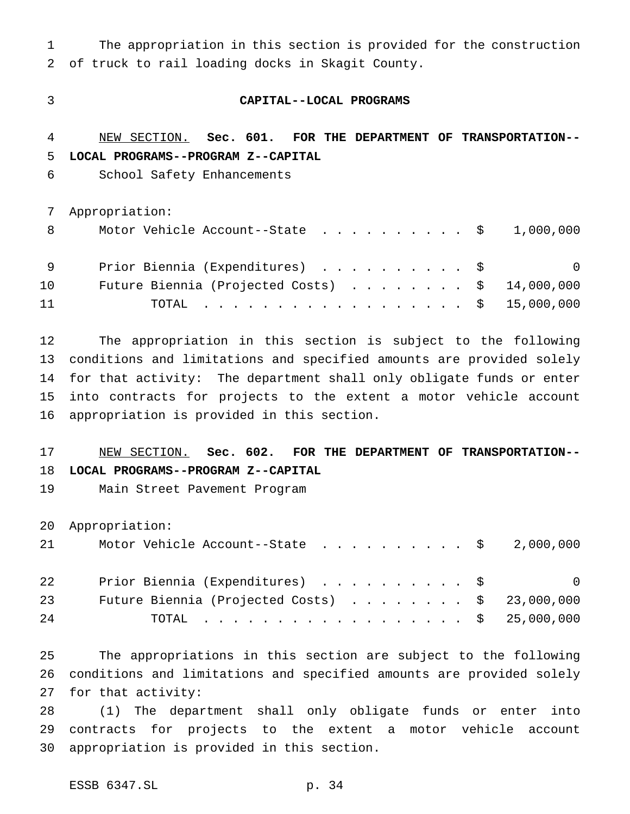The appropriation in this section is provided for the construction of truck to rail loading docks in Skagit County.

#### **CAPITAL--LOCAL PROGRAMS**

 NEW SECTION. **Sec. 601. FOR THE DEPARTMENT OF TRANSPORTATION-- LOCAL PROGRAMS--PROGRAM Z--CAPITAL**

School Safety Enhancements

Appropriation:

| - 8 | Motor Vehicle Account--State $\ldots$ \$ 1,000,000      |     |
|-----|---------------------------------------------------------|-----|
| - 9 | Prior Biennia (Expenditures) \$                         | - 0 |
| 10  | Future Biennia (Projected Costs) $\ldots$ \$ 14,000,000 |     |
| 11  | TOTAL \$ 15,000,000                                     |     |

 The appropriation in this section is subject to the following conditions and limitations and specified amounts are provided solely for that activity: The department shall only obligate funds or enter into contracts for projects to the extent a motor vehicle account appropriation is provided in this section.

 NEW SECTION. **Sec. 602. FOR THE DEPARTMENT OF TRANSPORTATION-- LOCAL PROGRAMS--PROGRAM Z--CAPITAL**

Main Street Pavement Program

Appropriation:

| 21 |  | Motor Vehicle Account--State $\ldots$ \$ 2,000,000 |  |  |  |  |  |     |
|----|--|----------------------------------------------------|--|--|--|--|--|-----|
| 22 |  | Prior Biennia (Expenditures) \$                    |  |  |  |  |  | - 0 |

|    |  |  |  |  |  |  |  |  |  | 23 Future Biennia (Projected Costs) \$ 23,000,000 |
|----|--|--|--|--|--|--|--|--|--|---------------------------------------------------|
| 24 |  |  |  |  |  |  |  |  |  | TOTAL \$ 25,000,000                               |

 The appropriations in this section are subject to the following conditions and limitations and specified amounts are provided solely for that activity:

 (1) The department shall only obligate funds or enter into contracts for projects to the extent a motor vehicle account appropriation is provided in this section.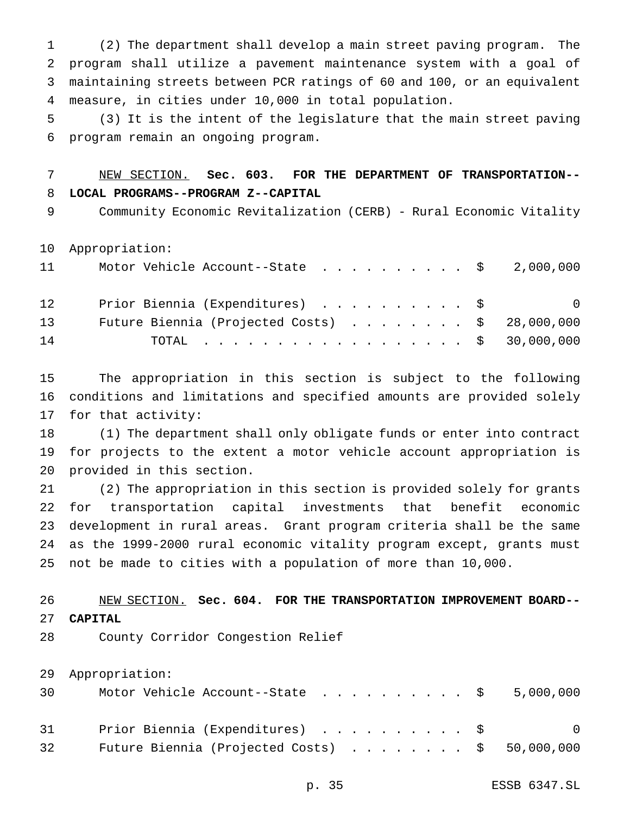(2) The department shall develop a main street paving program. The program shall utilize a pavement maintenance system with a goal of maintaining streets between PCR ratings of 60 and 100, or an equivalent measure, in cities under 10,000 in total population.

 (3) It is the intent of the legislature that the main street paving program remain an ongoing program.

# NEW SECTION. **Sec. 603. FOR THE DEPARTMENT OF TRANSPORTATION-- LOCAL PROGRAMS--PROGRAM Z--CAPITAL**

Community Economic Revitalization (CERB) - Rural Economic Vitality

Appropriation:

| 11 | Motor Vehicle Account--State $\ldots$ \$ 2,000,000      |                |
|----|---------------------------------------------------------|----------------|
| 12 | Prior Biennia (Expenditures) \$                         | $\overline{0}$ |
| 13 | Future Biennia (Projected Costs) $\ldots$ \$ 28,000,000 |                |
| 14 | TOTAL \$ 30,000,000                                     |                |

 The appropriation in this section is subject to the following conditions and limitations and specified amounts are provided solely for that activity:

 (1) The department shall only obligate funds or enter into contract for projects to the extent a motor vehicle account appropriation is provided in this section.

 (2) The appropriation in this section is provided solely for grants for transportation capital investments that benefit economic development in rural areas. Grant program criteria shall be the same as the 1999-2000 rural economic vitality program except, grants must not be made to cities with a population of more than 10,000.

# NEW SECTION. **Sec. 604. FOR THE TRANSPORTATION IMPROVEMENT BOARD-- CAPITAL**

County Corridor Congestion Relief

Appropriation:

| 30 | Motor Vehicle Account--State $\ldots$ \$ 5,000,000      |  |  |  |  |  |                |
|----|---------------------------------------------------------|--|--|--|--|--|----------------|
| 31 | Prior Biennia (Expenditures) \$                         |  |  |  |  |  | $\overline{0}$ |
| 32 | Future Biennia (Projected Costs) $\ldots$ \$ 50,000,000 |  |  |  |  |  |                |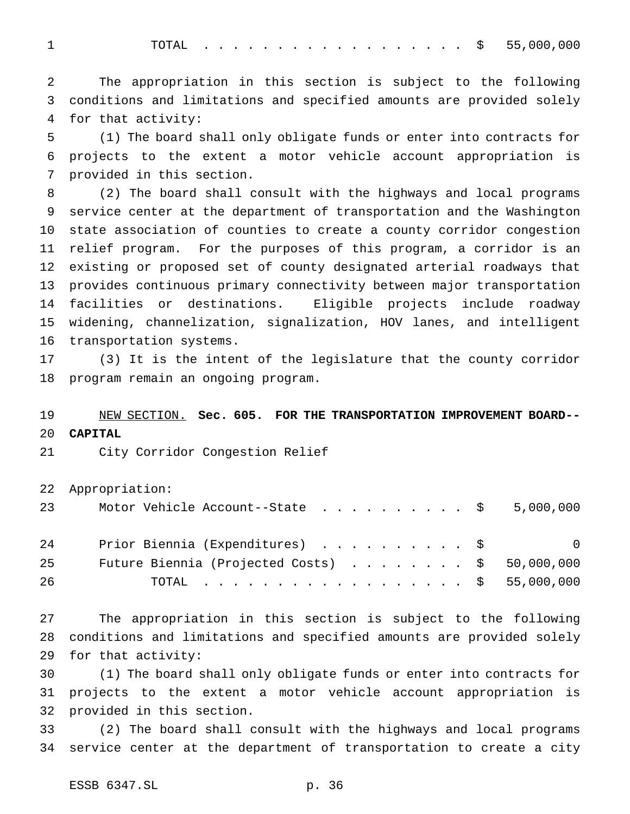1 TOTAL . . . . . . . . . . . . . . . . \$ 55,000,000

 The appropriation in this section is subject to the following conditions and limitations and specified amounts are provided solely for that activity:

 (1) The board shall only obligate funds or enter into contracts for projects to the extent a motor vehicle account appropriation is provided in this section.

 (2) The board shall consult with the highways and local programs service center at the department of transportation and the Washington state association of counties to create a county corridor congestion relief program. For the purposes of this program, a corridor is an existing or proposed set of county designated arterial roadways that provides continuous primary connectivity between major transportation facilities or destinations. Eligible projects include roadway widening, channelization, signalization, HOV lanes, and intelligent transportation systems.

 (3) It is the intent of the legislature that the county corridor program remain an ongoing program.

# NEW SECTION. **Sec. 605. FOR THE TRANSPORTATION IMPROVEMENT BOARD-- CAPITAL**

City Corridor Congestion Relief

Appropriation:

| 23 | Motor Vehicle Account--State $\ldots$ \$ 5,000,000 |  |
|----|----------------------------------------------------|--|
| 24 | Prior Biennia (Expenditures) \$<br>$\overline{0}$  |  |
| 25 | Future Biennia (Projected Costs) \$ 50,000,000     |  |
| 26 | TOTAL \$ 55,000,000                                |  |

 The appropriation in this section is subject to the following conditions and limitations and specified amounts are provided solely for that activity:

 (1) The board shall only obligate funds or enter into contracts for projects to the extent a motor vehicle account appropriation is provided in this section.

 (2) The board shall consult with the highways and local programs service center at the department of transportation to create a city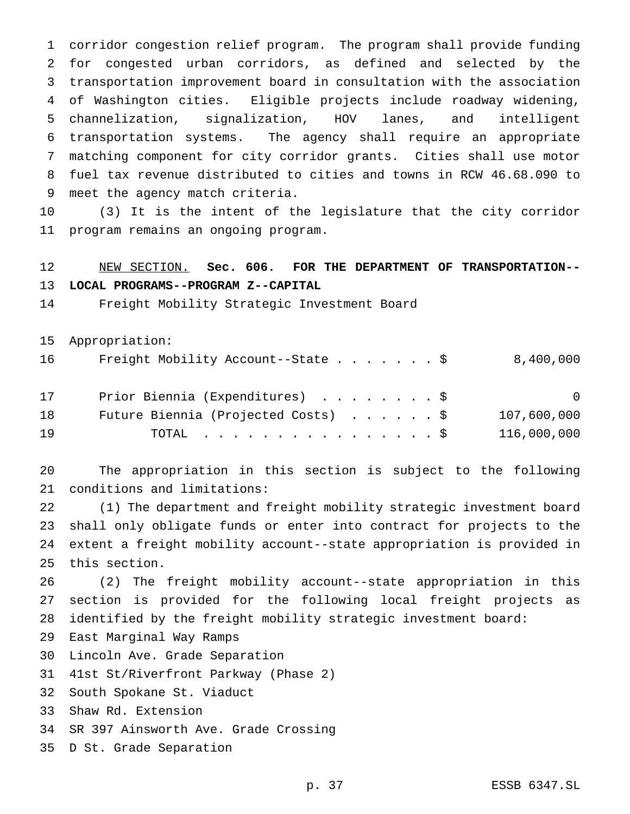corridor congestion relief program. The program shall provide funding for congested urban corridors, as defined and selected by the transportation improvement board in consultation with the association of Washington cities. Eligible projects include roadway widening, channelization, signalization, HOV lanes, and intelligent transportation systems. The agency shall require an appropriate matching component for city corridor grants. Cities shall use motor fuel tax revenue distributed to cities and towns in RCW 46.68.090 to meet the agency match criteria.

 (3) It is the intent of the legislature that the city corridor program remains an ongoing program.

# NEW SECTION. **Sec. 606. FOR THE DEPARTMENT OF TRANSPORTATION--**

# **LOCAL PROGRAMS--PROGRAM Z--CAPITAL**

Freight Mobility Strategic Investment Board

Appropriation:

| 16 | Freight Mobility Account--State $\frac{1}{5}$ | 8,400,000   |
|----|-----------------------------------------------|-------------|
| 17 | Prior Biennia (Expenditures) \$               | $\Omega$    |
| 18 | Future Biennia (Projected Costs) \$           | 107,600,000 |
| 19 | TOTAL \$                                      | 116,000,000 |

 The appropriation in this section is subject to the following conditions and limitations:

 (1) The department and freight mobility strategic investment board shall only obligate funds or enter into contract for projects to the extent a freight mobility account--state appropriation is provided in this section.

 (2) The freight mobility account--state appropriation in this section is provided for the following local freight projects as identified by the freight mobility strategic investment board:

- East Marginal Way Ramps
- Lincoln Ave. Grade Separation
- 41st St/Riverfront Parkway (Phase 2)
- South Spokane St. Viaduct
- Shaw Rd. Extension
- SR 397 Ainsworth Ave. Grade Crossing
- D St. Grade Separation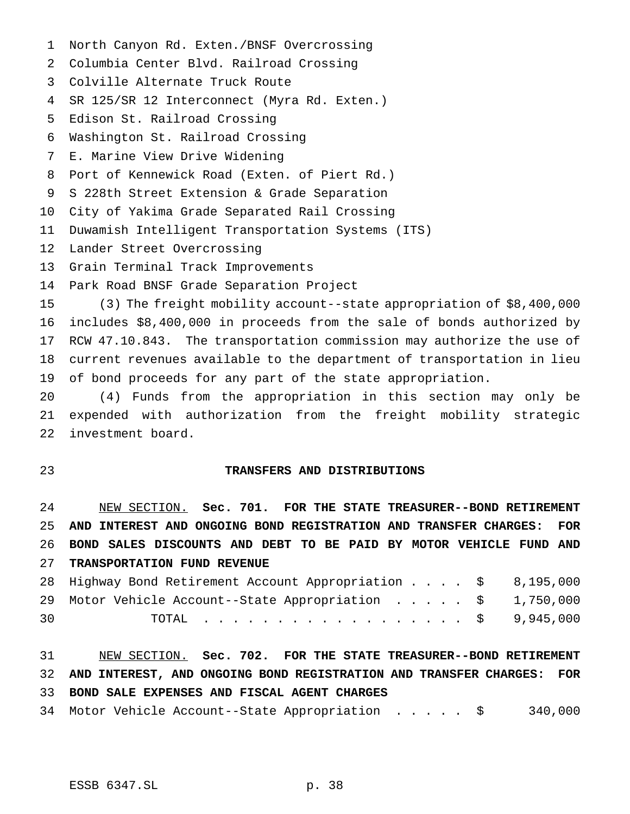- North Canyon Rd. Exten./BNSF Overcrossing
- Columbia Center Blvd. Railroad Crossing
- Colville Alternate Truck Route
- SR 125/SR 12 Interconnect (Myra Rd. Exten.)
- Edison St. Railroad Crossing
- Washington St. Railroad Crossing
- E. Marine View Drive Widening
- Port of Kennewick Road (Exten. of Piert Rd.)
- S 228th Street Extension & Grade Separation
- City of Yakima Grade Separated Rail Crossing
- Duwamish Intelligent Transportation Systems (ITS)
- Lander Street Overcrossing
- Grain Terminal Track Improvements
- Park Road BNSF Grade Separation Project

 (3) The freight mobility account--state appropriation of \$8,400,000 includes \$8,400,000 in proceeds from the sale of bonds authorized by RCW 47.10.843. The transportation commission may authorize the use of current revenues available to the department of transportation in lieu of bond proceeds for any part of the state appropriation.

 (4) Funds from the appropriation in this section may only be expended with authorization from the freight mobility strategic investment board.

#### **TRANSFERS AND DISTRIBUTIONS**

 NEW SECTION. **Sec. 701. FOR THE STATE TREASURER--BOND RETIREMENT AND INTEREST AND ONGOING BOND REGISTRATION AND TRANSFER CHARGES: FOR BOND SALES DISCOUNTS AND DEBT TO BE PAID BY MOTOR VEHICLE FUND AND TRANSPORTATION FUND REVENUE**

|    | 28 Highway Bond Retirement Account Appropriation \$ 8,195,000 |  |
|----|---------------------------------------------------------------|--|
|    | 29 Motor Vehicle Account--State Appropriation \$ 1,750,000    |  |
| 30 | TOTAL \$ 9,945,000                                            |  |

 NEW SECTION. **Sec. 702. FOR THE STATE TREASURER--BOND RETIREMENT AND INTEREST, AND ONGOING BOND REGISTRATION AND TRANSFER CHARGES: FOR BOND SALE EXPENSES AND FISCAL AGENT CHARGES**

Motor Vehicle Account--State Appropriation ..... \$ 340,000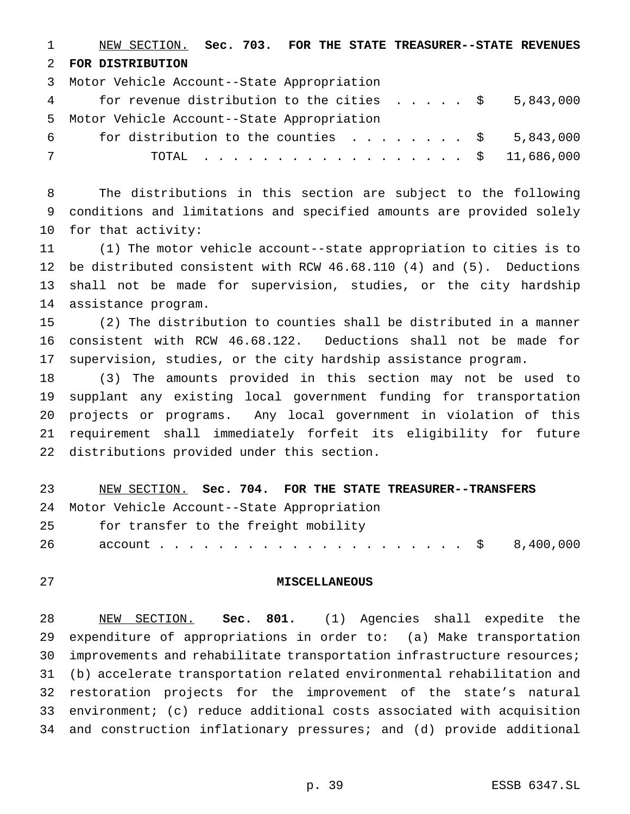NEW SECTION. **Sec. 703. FOR THE STATE TREASURER--STATE REVENUES FOR DISTRIBUTION**

Motor Vehicle Account--State Appropriation

| 4 | for revenue distribution to the cities $\ldots$ , $\frac{1}{5}$ , 843,000 |  |  |  |                    |  |
|---|---------------------------------------------------------------------------|--|--|--|--------------------|--|
|   | 5 Motor Vehicle Account--State Appropriation                              |  |  |  |                    |  |
|   | fais at attachment and the the count of a                                 |  |  |  | $\Gamma$ 0.42 0.00 |  |

6 for distribution to the counties  $\ldots$ ...... \$ 5,843,000 TOTAL .................. \$ 11,686,000

 The distributions in this section are subject to the following conditions and limitations and specified amounts are provided solely for that activity:

 (1) The motor vehicle account--state appropriation to cities is to be distributed consistent with RCW 46.68.110 (4) and (5). Deductions shall not be made for supervision, studies, or the city hardship assistance program.

 (2) The distribution to counties shall be distributed in a manner consistent with RCW 46.68.122. Deductions shall not be made for supervision, studies, or the city hardship assistance program.

 (3) The amounts provided in this section may not be used to supplant any existing local government funding for transportation projects or programs. Any local government in violation of this requirement shall immediately forfeit its eligibility for future distributions provided under this section.

| 23  | NEW SECTION. Sec. 704. FOR THE STATE TREASURER--TRANSFERS |
|-----|-----------------------------------------------------------|
|     | 24 Motor Vehicle Account--State Appropriation             |
| -25 | for transfer to the freight mobility                      |
| -26 |                                                           |
|     |                                                           |

#### **MISCELLANEOUS**

 NEW SECTION. **Sec. 801.** (1) Agencies shall expedite the expenditure of appropriations in order to: (a) Make transportation improvements and rehabilitate transportation infrastructure resources; (b) accelerate transportation related environmental rehabilitation and restoration projects for the improvement of the state's natural environment; (c) reduce additional costs associated with acquisition and construction inflationary pressures; and (d) provide additional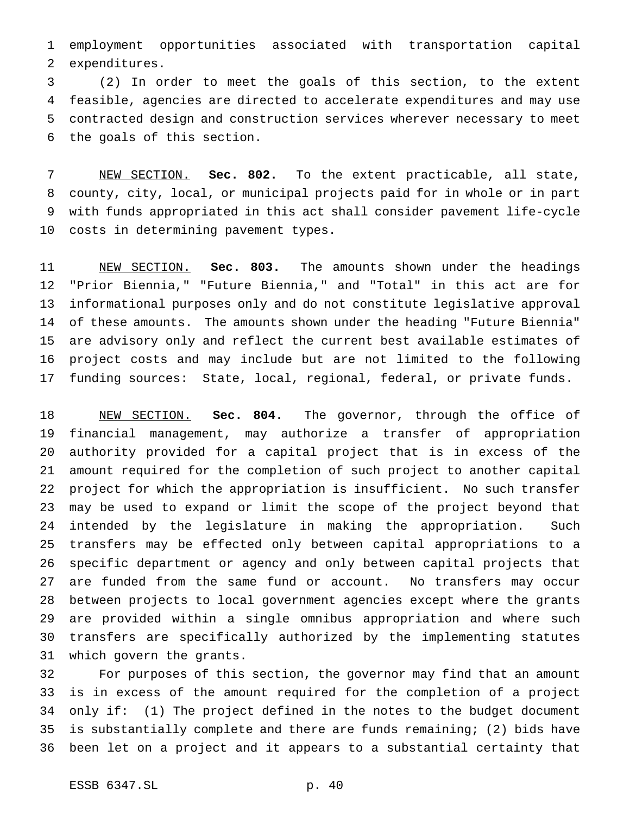employment opportunities associated with transportation capital expenditures.

 (2) In order to meet the goals of this section, to the extent feasible, agencies are directed to accelerate expenditures and may use contracted design and construction services wherever necessary to meet the goals of this section.

 NEW SECTION. **Sec. 802.** To the extent practicable, all state, county, city, local, or municipal projects paid for in whole or in part with funds appropriated in this act shall consider pavement life-cycle costs in determining pavement types.

 NEW SECTION. **Sec. 803.** The amounts shown under the headings "Prior Biennia," "Future Biennia," and "Total" in this act are for informational purposes only and do not constitute legislative approval of these amounts. The amounts shown under the heading "Future Biennia" are advisory only and reflect the current best available estimates of project costs and may include but are not limited to the following funding sources: State, local, regional, federal, or private funds.

 NEW SECTION. **Sec. 804.** The governor, through the office of financial management, may authorize a transfer of appropriation authority provided for a capital project that is in excess of the amount required for the completion of such project to another capital project for which the appropriation is insufficient. No such transfer may be used to expand or limit the scope of the project beyond that intended by the legislature in making the appropriation. Such transfers may be effected only between capital appropriations to a specific department or agency and only between capital projects that are funded from the same fund or account. No transfers may occur between projects to local government agencies except where the grants are provided within a single omnibus appropriation and where such transfers are specifically authorized by the implementing statutes which govern the grants.

 For purposes of this section, the governor may find that an amount is in excess of the amount required for the completion of a project only if: (1) The project defined in the notes to the budget document is substantially complete and there are funds remaining; (2) bids have been let on a project and it appears to a substantial certainty that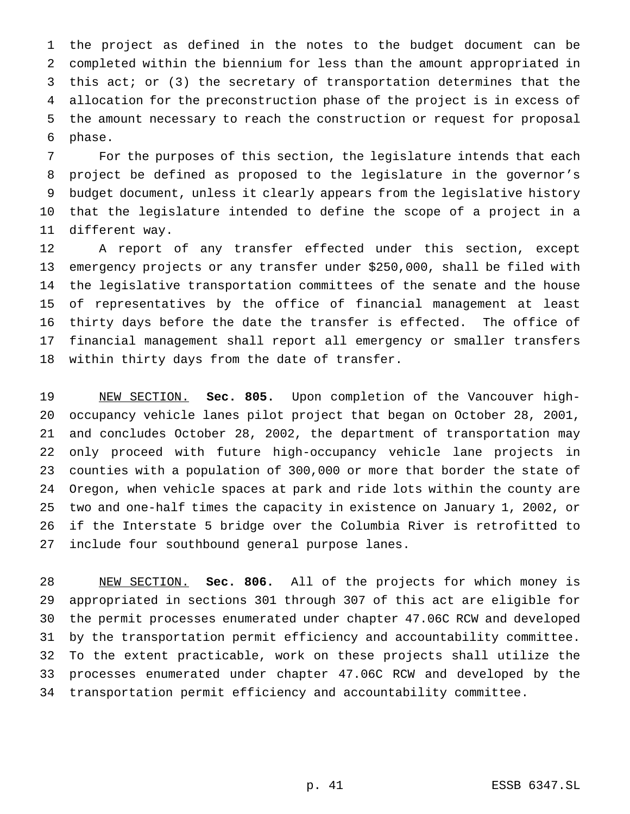the project as defined in the notes to the budget document can be completed within the biennium for less than the amount appropriated in this act; or (3) the secretary of transportation determines that the allocation for the preconstruction phase of the project is in excess of the amount necessary to reach the construction or request for proposal phase.

 For the purposes of this section, the legislature intends that each project be defined as proposed to the legislature in the governor's budget document, unless it clearly appears from the legislative history that the legislature intended to define the scope of a project in a different way.

 A report of any transfer effected under this section, except emergency projects or any transfer under \$250,000, shall be filed with the legislative transportation committees of the senate and the house of representatives by the office of financial management at least thirty days before the date the transfer is effected. The office of financial management shall report all emergency or smaller transfers within thirty days from the date of transfer.

 NEW SECTION. **Sec. 805.** Upon completion of the Vancouver high- occupancy vehicle lanes pilot project that began on October 28, 2001, and concludes October 28, 2002, the department of transportation may only proceed with future high-occupancy vehicle lane projects in counties with a population of 300,000 or more that border the state of Oregon, when vehicle spaces at park and ride lots within the county are two and one-half times the capacity in existence on January 1, 2002, or if the Interstate 5 bridge over the Columbia River is retrofitted to include four southbound general purpose lanes.

 NEW SECTION. **Sec. 806.** All of the projects for which money is appropriated in sections 301 through 307 of this act are eligible for the permit processes enumerated under chapter 47.06C RCW and developed by the transportation permit efficiency and accountability committee. To the extent practicable, work on these projects shall utilize the processes enumerated under chapter 47.06C RCW and developed by the transportation permit efficiency and accountability committee.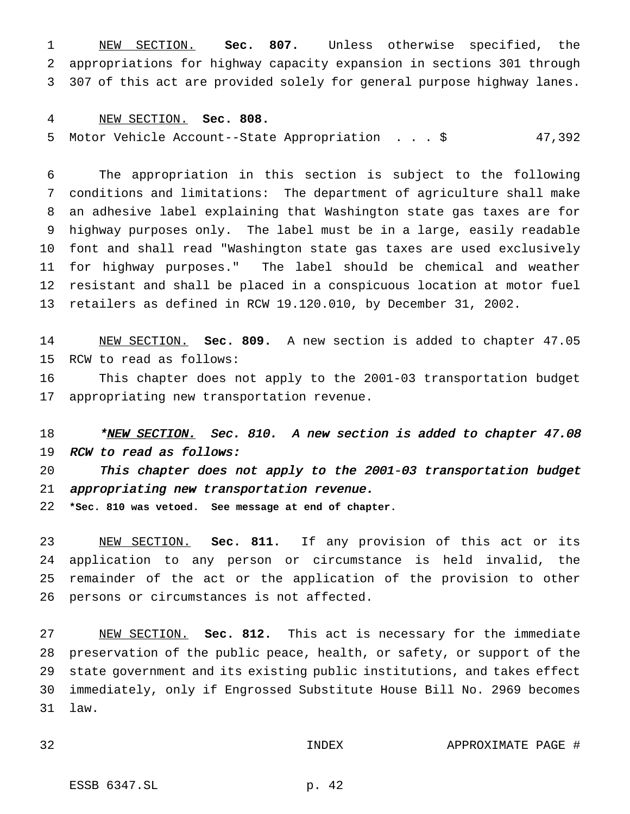NEW SECTION. **Sec. 807.** Unless otherwise specified, the appropriations for highway capacity expansion in sections 301 through 307 of this act are provided solely for general purpose highway lanes.

#### NEW SECTION. **Sec. 808.**

Motor Vehicle Account--State Appropriation ...\$ 47,392

 The appropriation in this section is subject to the following conditions and limitations: The department of agriculture shall make an adhesive label explaining that Washington state gas taxes are for highway purposes only. The label must be in a large, easily readable font and shall read "Washington state gas taxes are used exclusively for highway purposes." The label should be chemical and weather resistant and shall be placed in a conspicuous location at motor fuel retailers as defined in RCW 19.120.010, by December 31, 2002.

 NEW SECTION. **Sec. 809.** A new section is added to chapter 47.05 RCW to read as follows:

 This chapter does not apply to the 2001-03 transportation budget appropriating new transportation revenue.

18 \*<u>NEW SECTION.</u> Sec. 810. A new section is added to chapter 47.08 RCW to read as follows:

 This chapter does not apply to the 2001-03 transportation budget appropriating new transportation revenue.

**\*Sec. 810 was vetoed. See message at end of chapter.**

 NEW SECTION. **Sec. 811.** If any provision of this act or its application to any person or circumstance is held invalid, the remainder of the act or the application of the provision to other persons or circumstances is not affected.

 NEW SECTION. **Sec. 812.** This act is necessary for the immediate preservation of the public peace, health, or safety, or support of the state government and its existing public institutions, and takes effect immediately, only if Engrossed Substitute House Bill No. 2969 becomes law.

INDEX APPROXIMATE PAGE #

ESSB 6347.SL p. 42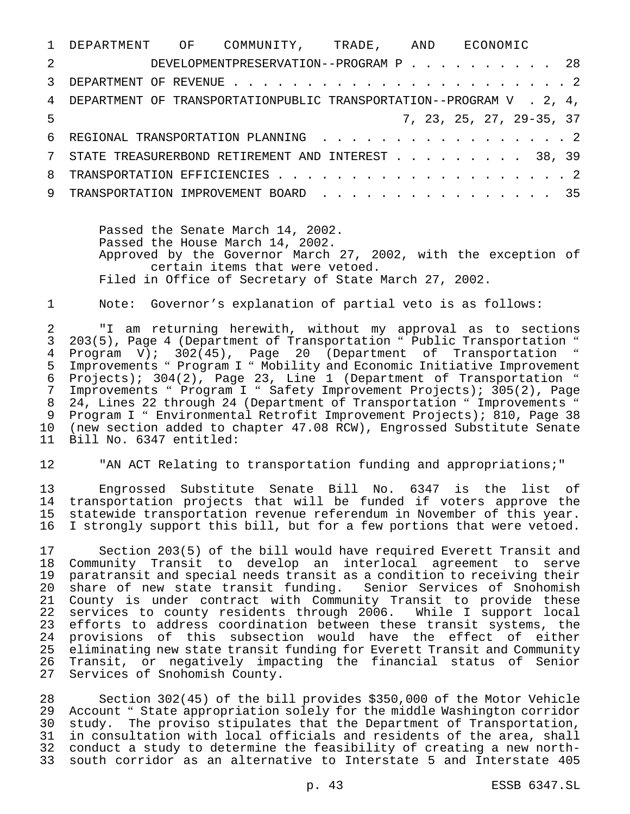|   | 1 DEPARTMENT OF COMMUNITY, TRADE, AND ECONOMIC                         |  |  |  |  |  |  |  |  |  |                          |
|---|------------------------------------------------------------------------|--|--|--|--|--|--|--|--|--|--------------------------|
|   | 2 DEVELOPMENTPRESERVATION--PROGRAM P 28                                |  |  |  |  |  |  |  |  |  |                          |
|   |                                                                        |  |  |  |  |  |  |  |  |  |                          |
|   | 4 DEPARTMENT OF TRANSPORTATIONPUBLIC TRANSPORTATION--PROGRAM V . 2, 4, |  |  |  |  |  |  |  |  |  |                          |
| 5 |                                                                        |  |  |  |  |  |  |  |  |  | 7, 23, 25, 27, 29-35, 37 |
|   | 6 REGIONAL TRANSPORTATION PLANNING 2                                   |  |  |  |  |  |  |  |  |  |                          |
|   | 7 STATE TREASURERBOND RETIREMENT AND INTEREST 38, 39                   |  |  |  |  |  |  |  |  |  |                          |
|   |                                                                        |  |  |  |  |  |  |  |  |  |                          |
|   | 9 TRANSPORTATION IMPROVEMENT BOARD 35                                  |  |  |  |  |  |  |  |  |  |                          |

Passed the Senate March 14, 2002. Passed the House March 14, 2002. Approved by the Governor March 27, 2002, with the exception of certain items that were vetoed. Filed in Office of Secretary of State March 27, 2002.

#### Note: Governor's explanation of partial veto is as follows:

 "I am returning herewith, without my approval as to sections 203(5), Page 4 (Department of Transportation " Public Transportation " 4 Program V); 302(45), Page 20 (Department of Transportation Improvements " Program I " Mobility and Economic Initiative Improvement Projects); 304(2), Page 23, Line 1 (Department of Transportation " Improvements " Program I " Safety Improvement Projects); 305(2), Page 24, Lines 22 through 24 (Department of Transportation " Improvements " Program I " Environmental Retrofit Improvement Projects); 810, Page 38 (new section added to chapter 47.08 RCW), Engrossed Substitute Senate Bill No. 6347 entitled:

"AN ACT Relating to transportation funding and appropriations;"

 Engrossed Substitute Senate Bill No. 6347 is the list of 14 transportation projects that will be funded if voters approve the<br>15 statewide transportation revenue referendum in November of this year. statewide transportation revenue referendum in November of this year. I strongly support this bill, but for a few portions that were vetoed.

 Section 203(5) of the bill would have required Everett Transit and Community Transit to develop an interlocal agreement to serve paratransit and special needs transit as a condition to receiving their share of new state transit funding. Senior Services of Snohomish County is under contract with Community Transit to provide these services to county residents through 2006. While I support local efforts to address coordination between these transit systems, the 24 provisions of this subsection would have the effect of either<br>25 eliminating new state transit funding for Everett Transit and Community eliminating new state transit funding for Everett Transit and Community Transit, or negatively impacting the financial status of Senior Services of Snohomish County.

 Section 302(45) of the bill provides \$350,000 of the Motor Vehicle Account " State appropriation solely for the middle Washington corridor study. The proviso stipulates that the Department of Transportation, in consultation with local officials and residents of the area, shall conduct a study to determine the feasibility of creating a new north-south corridor as an alternative to Interstate 5 and Interstate 405